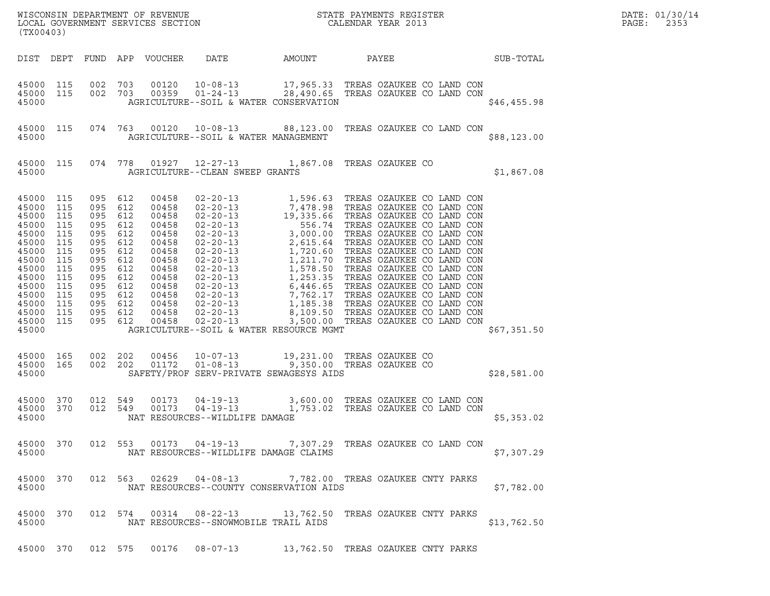| (TX00403)                                                                                                                                                                                                |                        |         |                                                                                                                                                        |                                 |                                                                     | WISCONSIN DEPARTMENT OF REVENUE<br>LOCAL GOVERNMENT SERVICES SECTION<br>(TYA04403)                                                                                                                                                                                                          |             |
|----------------------------------------------------------------------------------------------------------------------------------------------------------------------------------------------------------|------------------------|---------|--------------------------------------------------------------------------------------------------------------------------------------------------------|---------------------------------|---------------------------------------------------------------------|---------------------------------------------------------------------------------------------------------------------------------------------------------------------------------------------------------------------------------------------------------------------------------------------|-------------|
|                                                                                                                                                                                                          |                        |         |                                                                                                                                                        | DIST DEPT FUND APP VOUCHER DATE |                                                                     | AMOUNT PAYEE SUB-TOTAL                                                                                                                                                                                                                                                                      |             |
| 45000                                                                                                                                                                                                    |                        |         |                                                                                                                                                        |                                 | AGRICULTURE--SOIL & WATER CONSERVATION                              | $\begin{array}{cccccccc} 4\,5\,0\,0\,0 & 11\,5 & 0\,0\,2 & 7\,0\,3 & 0\,0\,1\,2\,0 & 10\,0\,8\,0\,1\,3 & 17\,,9\,6\,5\,.3\,3 & \text{TREAS OZAUKEE CO LAND CON}\\ 4\,5\,0\,0\,0 & 11\,5 & 0\,0\,2 & 7\,0\,3 & 0\,0\,3\,5\,9 & 0\,1\,0\,2\,4\,0\,1\,3 & 2\,8\,,4\,9\,0\,.6\,5 & \text{TREAS$ | \$46,455.98 |
|                                                                                                                                                                                                          | 45000 115              |         |                                                                                                                                                        |                                 | 45000 AGRICULTURE--SOIL & WATER MANAGEMENT                          | 074 763 00120 10-08-13 88,123.00 TREAS OZAUKEE CO LAND CON                                                                                                                                                                                                                                  | \$88,123.00 |
|                                                                                                                                                                                                          | 45000 115              |         |                                                                                                                                                        |                                 | 45000 AGRICULTURE--CLEAN SWEEP GRANTS                               | 074 778 01927 12-27-13 1,867.08 TREAS OZAUKEE CO                                                                                                                                                                                                                                            | \$1,867.08  |
| 45000 115<br>45000 115<br>45000 115<br>45000 115<br>45000 115<br>45000 115<br>45000 115<br>45000 115<br>45000 115<br>45000 115<br>45000 115<br>45000 115<br>45000 115<br>45000 115<br>45000 115<br>45000 |                        | 095 612 | 095 612<br>095 612<br>095 612<br>095 612<br>095 612<br>095 612<br>095 612<br>095 612<br>095 612<br>095 612<br>095 612<br>095 612<br>095 612<br>095 612 |                                 | AGRICULTURE--SOIL & WATER RESOURCE MGMT                             |                                                                                                                                                                                                                                                                                             | \$67,351.50 |
| 45000                                                                                                                                                                                                    | 45000 165<br>45000 165 |         |                                                                                                                                                        |                                 | SAFETY/PROF SERV-PRIVATE SEWAGESYS AIDS                             | 002  202  00456  10-07-13  19,231.00 TREAS OZAUKEE CO  002  202  01172  01-08-13  9,350.00 TREAS OZAUKEE CO                                                                                                                                                                                 | \$28,581.00 |
| 45000                                                                                                                                                                                                    | 45000 370<br>45000 370 |         |                                                                                                                                                        |                                 | NAT RESOURCES--WILDLIFE DAMAGE                                      | 012 549  00173  04-19-13  3,600.00 TREAS OZAUKEE CO LAND CON<br>012  549  00173  04-19-13   1,753.02 TREAS OZAUKEE CO LAND CON                                                                                                                                                              | \$5,353.02  |
| 45000                                                                                                                                                                                                    | 45000 370              |         |                                                                                                                                                        |                                 | NAT RESOURCES--WILDLIFE DAMAGE CLAIMS                               | 012 553 00173 04-19-13 7,307.29 TREAS OZAUKEE CO LAND CON                                                                                                                                                                                                                                   | \$7,307.29  |
| 45000                                                                                                                                                                                                    | 45000 370              |         |                                                                                                                                                        |                                 | NAT RESOURCES--COUNTY CONSERVATION AIDS                             | 012 563 02629 04-08-13 7,782.00 TREAS OZAUKEE CNTY PARKS                                                                                                                                                                                                                                    | \$7,782.00  |
| 45000                                                                                                                                                                                                    | 45000 370              |         |                                                                                                                                                        |                                 | NAT RESOURCES--SNOWMOBILE TRAIL AIDS                                | 012 574 00314 08-22-13 13,762.50 TREAS OZAUKEE CNTY PARKS                                                                                                                                                                                                                                   | \$13,762.50 |
|                                                                                                                                                                                                          |                        |         |                                                                                                                                                        |                                 | 45000 370 012 575 00176 08-07-13 13,762.50 TREAS OZAUKEE CNTY PARKS |                                                                                                                                                                                                                                                                                             |             |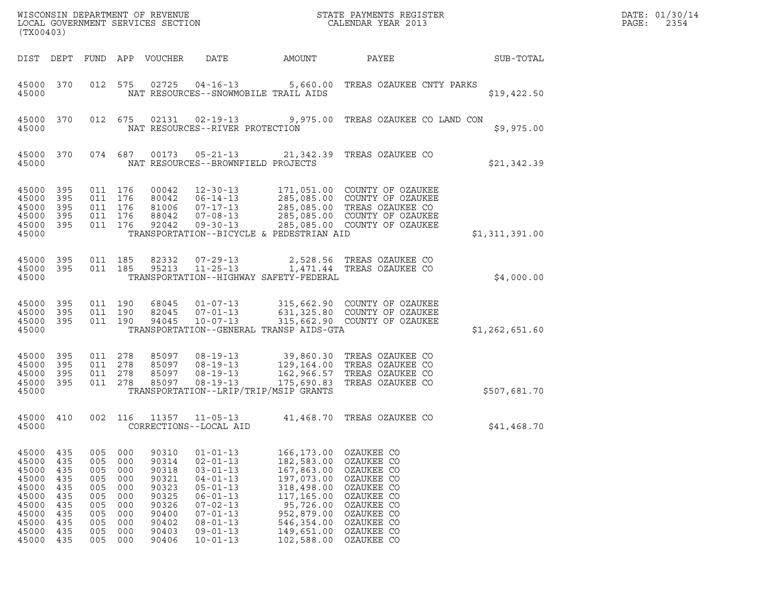| (TX00403)                                                                                           |                                                                    |                                                                           |                                                                           |                                                                                                 |                                                                                                                                                                                                    |                                                                                                                                                                           | $\tt WISCONSIM DEPARTMENT OF REVENUE$ $\tt WISCONSIMENTS REGISTER$ $\tt LOCALSONERNMENT SERVICES SECTION$ $\tt CALENDAR YEAR$ $2013$                        |                | DATE: 01/30/14<br>PAGE:<br>2354 |
|-----------------------------------------------------------------------------------------------------|--------------------------------------------------------------------|---------------------------------------------------------------------------|---------------------------------------------------------------------------|-------------------------------------------------------------------------------------------------|----------------------------------------------------------------------------------------------------------------------------------------------------------------------------------------------------|---------------------------------------------------------------------------------------------------------------------------------------------------------------------------|-------------------------------------------------------------------------------------------------------------------------------------------------------------|----------------|---------------------------------|
| DIST DEPT                                                                                           |                                                                    |                                                                           |                                                                           | FUND APP VOUCHER                                                                                | DATE                                                                                                                                                                                               | AMOUNT                                                                                                                                                                    | PAYEE                                                                                                                                                       | SUB-TOTAL      |                                 |
| 45000 370<br>45000                                                                                  |                                                                    | 012 575                                                                   |                                                                           | 02725                                                                                           | $04 - 16 - 13$                                                                                                                                                                                     | NAT RESOURCES--SNOWMOBILE TRAIL AIDS                                                                                                                                      | 5,660.00 TREAS OZAUKEE CNTY PARKS                                                                                                                           | \$19,422.50    |                                 |
| 45000 370<br>45000                                                                                  |                                                                    | 012 675                                                                   |                                                                           | 02131                                                                                           | $02 - 19 - 13$<br>NAT RESOURCES--RIVER PROTECTION                                                                                                                                                  |                                                                                                                                                                           | 9,975.00 TREAS OZAUKEE CO LAND CON                                                                                                                          | \$9,975.00     |                                 |
| 45000 370<br>45000                                                                                  |                                                                    |                                                                           | 074 687                                                                   | 00173                                                                                           | $05 - 21 - 13$<br>NAT RESOURCES--BROWNFIELD PROJECTS                                                                                                                                               |                                                                                                                                                                           | 21,342.39 TREAS OZAUKEE CO                                                                                                                                  | \$21,342.39    |                                 |
| 45000<br>45000<br>45000<br>45000<br>45000 395<br>45000                                              | 395<br>395<br>395<br>395                                           | 011 176<br>011<br>011 176<br>011 176<br>011 176                           | 176                                                                       | 00042<br>80042<br>81006<br>88042<br>92042                                                       | $12 - 30 - 13$<br>$06 - 14 - 13$<br>07-17-13<br>$07 - 08 - 13$<br>$09 - 30 - 13$                                                                                                                   | TRANSPORTATION--BICYCLE & PEDESTRIAN AID                                                                                                                                  | 171,051.00 COUNTY OF OZAUKEE<br>285,085.00 COUNTY OF OZAUKEE<br>285,085.00 TREAS OZAUKEE CO<br>285,085.00 COUNTY OF OZAUKEE<br>285,085.00 COUNTY OF OZAUKEE | \$1,311,391.00 |                                 |
| 45000 395<br>45000 395<br>45000                                                                     |                                                                    | 011 185<br>011 185                                                        |                                                                           | 82332<br>95213                                                                                  | $07 - 29 - 13$<br>$11 - 25 - 13$                                                                                                                                                                   | TRANSPORTATION--HIGHWAY SAFETY-FEDERAL                                                                                                                                    | 2,528.56 TREAS OZAUKEE CO<br>1,471.44 TREAS OZAUKEE CO                                                                                                      | \$4,000.00     |                                 |
| 45000<br>45000<br>45000 395<br>45000                                                                | 395<br>395                                                         | 011 190<br>011<br>011 190                                                 | 190                                                                       | 68045<br>82045<br>94045                                                                         | $01 - 07 - 13$<br>$07 - 01 - 13$<br>$10 - 07 - 13$                                                                                                                                                 | TRANSPORTATION--GENERAL TRANSP AIDS-GTA                                                                                                                                   | 315,662.90 COUNTY OF OZAUKEE<br>631,325.80 COUNTY OF OZAUKEE<br>315,662.90 COUNTY OF OZAUKEE                                                                | \$1,262,651.60 |                                 |
| 45000<br>45000<br>45000<br>45000 395<br>45000                                                       | 395<br>395<br>395                                                  | 011 278<br>011 278<br>011<br>011 278                                      | 278                                                                       | 85097<br>85097<br>85097<br>85097                                                                | $08 - 19 - 13$<br>$08 - 19 - 13$<br>$08 - 19 - 13$<br>$08 - 19 - 13$                                                                                                                               | TRANSPORTATION--LRIP/TRIP/MSIP GRANTS                                                                                                                                     | 39,860.30 TREAS OZAUKEE CO<br>129,164.00 TREAS OZAUKEE CO<br>162,966.57 TREAS OZAUKEE CO<br>175,690.83 TREAS OZAUKEE CO                                     | \$507,681.70   |                                 |
| 45000 410<br>45000                                                                                  |                                                                    | 002 116                                                                   |                                                                           | 11357                                                                                           | $11 - 05 - 13$<br>CORRECTIONS--LOCAL AID                                                                                                                                                           |                                                                                                                                                                           | 41,468.70 TREAS OZAUKEE CO                                                                                                                                  | \$41,468.70    |                                 |
| 45000<br>45000<br>45000<br>45000<br>45000<br>45000<br>45000<br>45000<br>45000<br>45000<br>45000 435 | 435<br>435<br>435<br>435<br>435<br>435<br>435<br>435<br>435<br>435 | 005<br>005<br>005<br>005<br>005<br>005<br>005<br>005<br>005<br>005<br>005 | 000<br>000<br>000<br>000<br>000<br>000<br>000<br>000<br>000<br>000<br>000 | 90310<br>90314<br>90318<br>90321<br>90323<br>90325<br>90326<br>90400<br>90402<br>90403<br>90406 | $01 - 01 - 13$<br>$02 - 01 - 13$<br>$03 - 01 - 13$<br>$04 - 01 - 13$<br>$05 - 01 - 13$<br>$06 - 01 - 13$<br>$07 - 02 - 13$<br>$07 - 01 - 13$<br>$08 - 01 - 13$<br>$09 - 01 - 13$<br>$10 - 01 - 13$ | 166,173.00<br>182,583.00<br>167,863.00 OZAUKEE CO<br>197,073.00<br>318,498.00<br>117,165.00<br>952,879.00<br>546,354.00<br>149,651.00 OZAUKEE CO<br>102,588.00 OZAUKEE CO | OZAUKEE CO<br>OZAUKEE CO<br>OZAUKEE CO<br>OZAUKEE CO<br>OZAUKEE CO<br>95,726.00 OZAUKEE CO<br>OZAUKEE CO<br>OZAUKEE CO                                      |                |                                 |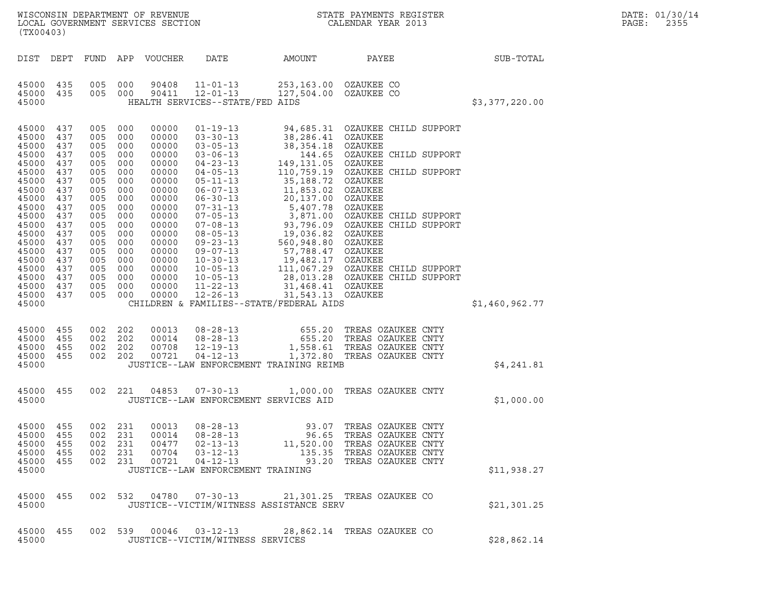| WISCONSIN DEPARTMENT OF REVENUE   | STATE PAYMENTS REGISTER | DATE: 01/30/14 |
|-----------------------------------|-------------------------|----------------|
| LOCAL GOVERNMENT SERVICES SECTION | CALENDAR YEAR 2013      | PAGE:<br>2355  |

| (TX00403)                                                                                                                                                                                                                                                                                                                                                                                                                                                                                                               | WISCONSIN DEPARTMENT OF REVENUE<br>LOCAL GOVERNMENT SERVICES SECTION<br>CALENDAR YEAR 2013                                                                                                                                                                                        |       |                                                                                                                                                          |                | DATE: 01/30/14<br>PAGE:<br>2355 |
|-------------------------------------------------------------------------------------------------------------------------------------------------------------------------------------------------------------------------------------------------------------------------------------------------------------------------------------------------------------------------------------------------------------------------------------------------------------------------------------------------------------------------|-----------------------------------------------------------------------------------------------------------------------------------------------------------------------------------------------------------------------------------------------------------------------------------|-------|----------------------------------------------------------------------------------------------------------------------------------------------------------|----------------|---------------------------------|
| DIST DEPT                                                                                                                                                                                                                                                                                                                                                                                                                                                                                                               | FUND APP VOUCHER                                                                                                                                                                                                                                                                  |       | DATE AMOUNT PAYEE SUB-TOTAL                                                                                                                              |                |                                 |
| 45000 435<br>005 000<br>45000 435<br>005 000<br>45000                                                                                                                                                                                                                                                                                                                                                                                                                                                                   | 90408<br>11-01-13 253,163.00 OZAUKEE CO<br>12-01-13 127,504.00 OZAUKEE CO<br>90411<br>HEALTH SERVICES--STATE/FED AIDS                                                                                                                                                             |       |                                                                                                                                                          | \$3,377,220.00 |                                 |
| 45000 437<br>005 000<br>45000<br>437<br>005<br>45000<br>437<br>005 000<br>45000<br>437<br>005<br>45000<br>437<br>005<br>45000<br>437<br>005<br>45000<br>437<br>005<br>45000<br>437<br>005<br>45000<br>437<br>005 000<br>45000<br>437<br>005<br>45000<br>437<br>005 000<br>45000<br>437<br>005<br>45000<br>437<br>005 000<br>45000<br>437<br>005<br>45000<br>437<br>005 000<br>45000<br>437<br>005 000<br>45000<br>437<br>005 000<br>45000<br>437<br>005 000<br>45000<br>437<br>005 000<br>005 000<br>45000 437<br>45000 | 00000<br>000<br>00000<br>00000<br>000<br>00000<br>000<br>00000<br>000<br>00000<br>000<br>00000<br>000<br>00000<br>00000<br>000<br>00000<br>00000<br>000<br>00000<br>00000<br>000<br>00000<br>00000<br>00000<br>00000<br>00000<br>00000<br>CHILDREN & FAMILIES--STATE/FEDERAL AIDS |       |                                                                                                                                                          | \$1,460,962.77 |                                 |
| 45000 455<br>002 202<br>002 202<br>45000 455<br>002 202<br>45000 455<br>002 202<br>45000 455<br>45000                                                                                                                                                                                                                                                                                                                                                                                                                   | 00013<br>00014<br>00708<br>00721<br>JUSTICE--LAW ENFORCEMENT TRAINING REIMB                                                                                                                                                                                                       |       | 08-28-13 655.20 TREAS OZAUKEE CNTY<br>08-28-13 655.20 TREAS OZAUKEE CNTY<br>12-19-13 1,558.61 TREAS OZAUKEE CNTY<br>04-12-13 1,372.80 TREAS OZAUKEE CNTY | \$4,241.81     |                                 |
| 45000 455<br>45000                                                                                                                                                                                                                                                                                                                                                                                                                                                                                                      | 002 221 04853 07-30-13 1,000.00 TREAS OZAUKEE CNTY<br>JUSTICE--LAW ENFORCEMENT SERVICES AID                                                                                                                                                                                       |       |                                                                                                                                                          | \$1,000.00     |                                 |
| 45000 455<br>45000 455<br>002 231<br>45000 455<br>002 231<br>002 231<br>45000 455<br>45000 455<br>002 231<br>45000                                                                                                                                                                                                                                                                                                                                                                                                      | 002 231 00013<br>00014<br>08-28-13<br>$02 - 13 - 13$<br>00477<br>00704<br>$03 - 12 - 13$<br>00721<br>$04 - 12 - 13$<br>JUSTICE--LAW ENFORCEMENT TRAINING                                                                                                                          | 96.65 | TREAS OZAUKEE CNTY<br>11,520.00 TREAS OZAUKEE CNTY<br>135.35 TREAS OZAUKEE CNTY<br>93.20 TREAS OZAUKEE CNTY                                              | \$11,938.27    |                                 |
| 45000 455<br>45000                                                                                                                                                                                                                                                                                                                                                                                                                                                                                                      | 002 532 04780 07-30-13 21,301.25 TREAS OZAUKEE CO<br>JUSTICE--VICTIM/WITNESS ASSISTANCE SERV                                                                                                                                                                                      |       |                                                                                                                                                          | \$21,301.25    |                                 |
| 45000 455<br>45000                                                                                                                                                                                                                                                                                                                                                                                                                                                                                                      | 002 539 00046 03-12-13 28,862.14 TREAS OZAUKEE CO<br>JUSTICE--VICTIM/WITNESS SERVICES                                                                                                                                                                                             |       |                                                                                                                                                          | \$28,862.14    |                                 |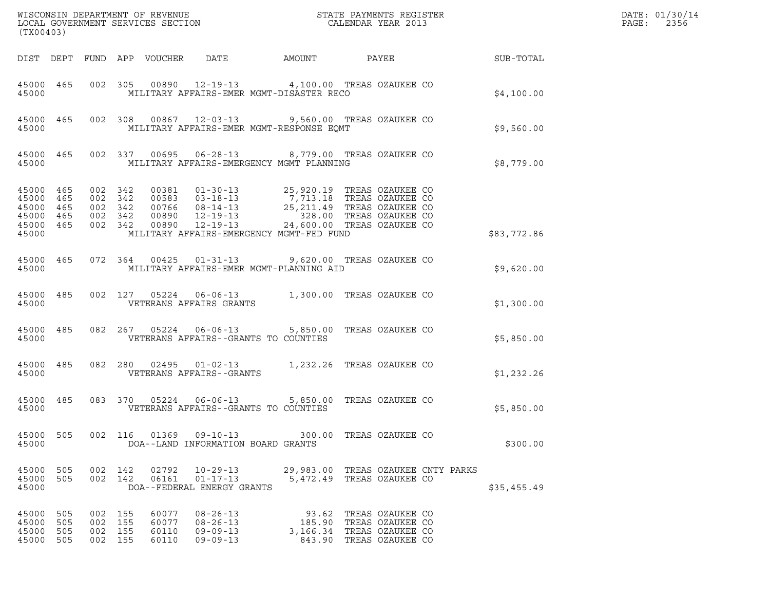| (TX00403)                                                 |                          |                                  |                    |                                  |                                                                      |                                                                                                                                                                                                                                                                                    |                                                                              |                 |            | DATE: 01/30/14<br>$\mathtt{PAGE:}$<br>2356 |
|-----------------------------------------------------------|--------------------------|----------------------------------|--------------------|----------------------------------|----------------------------------------------------------------------|------------------------------------------------------------------------------------------------------------------------------------------------------------------------------------------------------------------------------------------------------------------------------------|------------------------------------------------------------------------------|-----------------|------------|--------------------------------------------|
|                                                           |                          |                                  |                    | DIST DEPT FUND APP VOUCHER DATE  |                                                                      | AMOUNT                                                                                                                                                                                                                                                                             |                                                                              | PAYEE SUB-TOTAL |            |                                            |
| 45000                                                     | 45000 465                |                                  |                    |                                  |                                                                      | 002 305 00890 12-19-13 4,100.00 TREAS OZAUKEE CO<br>MILITARY AFFAIRS-EMER MGMT-DISASTER RECO                                                                                                                                                                                       |                                                                              |                 | \$4,100.00 |                                            |
| 45000                                                     |                          |                                  |                    |                                  |                                                                      | 45000 465 002 308 00867 12-03-13 9,560.00 TREAS OZAUKEE CO<br>MILITARY AFFAIRS-EMER MGMT-RESPONSE EQMT                                                                                                                                                                             |                                                                              |                 | \$9,560.00 |                                            |
| 45000                                                     | 45000 465                |                                  |                    |                                  |                                                                      | 002 337 00695 06-28-13 8,779.00 TREAS OZAUKEE CO<br>MILITARY AFFAIRS-EMERGENCY MGMT PLANNING                                                                                                                                                                                       |                                                                              |                 | \$8,779.00 |                                            |
| 45000 465<br>45000 465<br>45000 465<br>45000 465<br>45000 | 45000 465                | 002 342<br>002 342<br>002 342    | 002 342<br>002 342 |                                  |                                                                      | 00381  01-30-13  25,920.19 TREAS OZAUKEE CO<br>00583  03-18-13  7,713.18 TREAS OZAUKEE CO<br>00766  08-14-13  25,211.49 TREAS OZAUKEE CO<br>00890  12-19-13  24,600.00 TREAS OZAUKEE CO<br>00890  12-19-13  24,600.00 TREAS OZAUKEE CO<br>MILITARY AFFAIRS-EMERGENCY MGMT-FED FUND |                                                                              | \$83,772.86     |            |                                            |
| 45000                                                     | 45000 465                |                                  |                    |                                  |                                                                      | 072  364  00425  01-31-13  9,620.00  TREAS OZAUKEE CO<br>MILITARY AFFAIRS-EMER MGMT-PLANNING AID                                                                                                                                                                                   |                                                                              |                 | \$9,620.00 |                                            |
| 45000                                                     | 45000 485                |                                  |                    |                                  | VETERANS AFFAIRS GRANTS                                              | 002 127 05224 06-06-13 1,300.00 TREAS OZAUKEE CO                                                                                                                                                                                                                                   |                                                                              |                 | \$1,300.00 |                                            |
| 45000                                                     | 45000 485                |                                  |                    |                                  | VETERANS AFFAIRS--GRANTS TO COUNTIES                                 | 082  267  05224  06-06-13  5,850.00 TREAS OZAUKEE CO                                                                                                                                                                                                                               |                                                                              |                 | \$5,850.00 |                                            |
| 45000                                                     | 45000 485                |                                  |                    |                                  | VETERANS AFFAIRS--GRANTS                                             | 082 280 02495 01-02-13 1,232.26 TREAS OZAUKEE CO                                                                                                                                                                                                                                   |                                                                              |                 | \$1,232.26 |                                            |
| 45000 485<br>45000                                        |                          |                                  |                    |                                  | VETERANS AFFAIRS--GRANTS TO COUNTIES                                 | 083 370 05224 06-06-13 5,850.00 TREAS OZAUKEE CO                                                                                                                                                                                                                                   |                                                                              |                 | \$5,850.00 |                                            |
| 45000 505<br>45000                                        |                          |                                  |                    | 002 116 01369                    | $09 - 10 - 13$<br>DOA--LAND INFORMATION BOARD GRANTS                 |                                                                                                                                                                                                                                                                                    | 300.00 TREAS OZAUKEE CO                                                      |                 | \$300.00   |                                            |
| 45000<br>45000<br>45000                                   | 505<br>505               |                                  | 002 142<br>002 142 | 02792<br>06161                   | $10 - 29 - 13$<br>$01 - 17 - 13$<br>DOA--FEDERAL ENERGY GRANTS       | 5,472.49 TREAS OZAUKEE CO                                                                                                                                                                                                                                                          | 29,983.00 TREAS OZAUKEE CNTY PARKS                                           | \$35,455.49     |            |                                            |
| 45000<br>45000<br>45000<br>45000                          | 505<br>505<br>505<br>505 | 002 155<br>002<br>002<br>002 155 | 155<br>155         | 60077<br>60077<br>60110<br>60110 | $08 - 26 - 13$<br>$08 - 26 - 13$<br>$09 - 09 - 13$<br>$09 - 09 - 13$ | 3,166.34 TREAS OZAUKEE CO                                                                                                                                                                                                                                                          | 93.62 TREAS OZAUKEE CO<br>185.90 TREAS OZAUKEE CO<br>843.90 TREAS OZAUKEE CO |                 |            |                                            |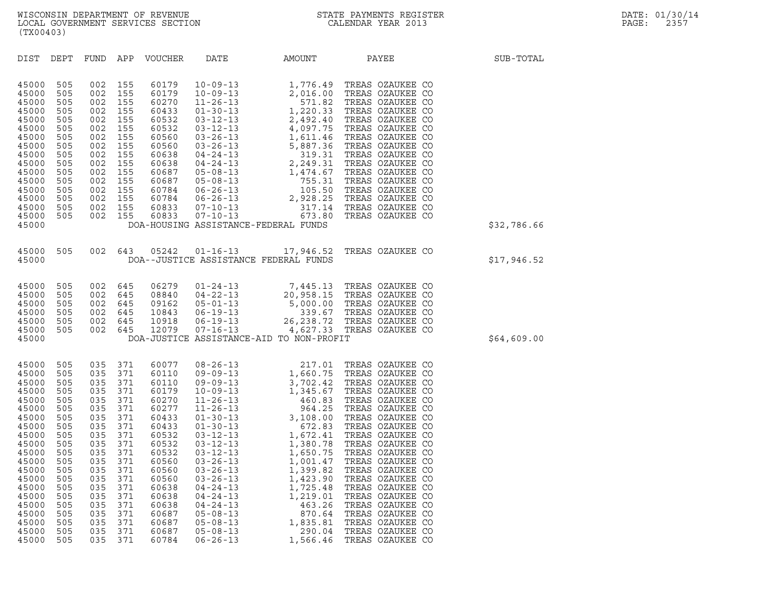| (TX00403)                                                                                                                                                                                 |                                                                                                                                                 |                                                                                                                                                 |                                                                                                                                                 |                                                                                                                                                                                           |                                                                                                                                                                                  |                                                                                                                |                                                                                                                                                                                                                                                                  |             |
|-------------------------------------------------------------------------------------------------------------------------------------------------------------------------------------------|-------------------------------------------------------------------------------------------------------------------------------------------------|-------------------------------------------------------------------------------------------------------------------------------------------------|-------------------------------------------------------------------------------------------------------------------------------------------------|-------------------------------------------------------------------------------------------------------------------------------------------------------------------------------------------|----------------------------------------------------------------------------------------------------------------------------------------------------------------------------------|----------------------------------------------------------------------------------------------------------------|------------------------------------------------------------------------------------------------------------------------------------------------------------------------------------------------------------------------------------------------------------------|-------------|
| DIST                                                                                                                                                                                      | DEPT                                                                                                                                            | FUND APP                                                                                                                                        |                                                                                                                                                 | VOUCHER                                                                                                                                                                                   | DATE                                                                                                                                                                             | AMOUNT                                                                                                         | PAYEE                                                                                                                                                                                                                                                            | SUB-TOTAL   |
| 45000<br>45000<br>45000<br>45000<br>45000<br>45000<br>45000<br>45000<br>45000<br>45000<br>45000<br>45000<br>45000<br>45000<br>45000<br>45000<br>45000                                     | 505<br>505<br>505<br>505<br>505<br>505<br>505<br>505<br>505<br>505<br>505<br>505<br>505<br>505<br>505<br>505                                    | 002<br>002<br>002<br>002<br>002<br>002<br>002<br>002<br>002<br>002<br>002<br>002<br>002<br>002<br>002<br>002                                    | 155<br>155<br>155<br>155<br>155<br>155<br>155<br>155<br>155<br>155<br>155<br>155<br>155<br>155<br>155<br>155                                    |                                                                                                                                                                                           |                                                                                                                                                                                  | DOA-HOUSING ASSISTANCE-FEDERAL FUNDS                                                                           |                                                                                                                                                                                                                                                                  | \$32,786.66 |
| 45000<br>45000                                                                                                                                                                            | 505                                                                                                                                             |                                                                                                                                                 | 002 643                                                                                                                                         | 05242                                                                                                                                                                                     | $01 - 16 - 13$                                                                                                                                                                   | DOA--JUSTICE ASSISTANCE FEDERAL FUNDS                                                                          | 17,946.52 TREAS OZAUKEE CO                                                                                                                                                                                                                                       | \$17,946.52 |
| 45000<br>45000<br>45000<br>45000<br>45000<br>45000<br>45000                                                                                                                               | 505<br>505<br>505<br>505<br>505<br>505                                                                                                          | 002<br>002<br>002<br>002<br>002<br>002                                                                                                          | 645<br>645<br>645<br>645<br>645<br>645                                                                                                          | 06279<br>08840<br>09162<br>10843<br>10918<br>12079                                                                                                                                        | $01 - 24 - 13$                                                                                                                                                                   | DOA-JUSTICE ASSISTANCE-AID TO NON-PROFIT                                                                       | 7,445.13 TREAS OZAUKEE CO<br>04-22-13<br>04-22-13<br>05-01-13<br>5,000.00 TREAS OZAUKEE CO<br>06-19-13<br>26,238.72 TREAS OZAUKEE CO<br>07-16-13<br>26,238.72 TREAS OZAUKEE CO<br>07-16-13<br>4,627.33 TREAS OZAUKEE CO<br>17-16-13<br>4,627.33 TREAS OZAUKEE CO | \$64,609.00 |
| 45000<br>45000<br>45000<br>45000<br>45000<br>45000<br>45000<br>45000<br>45000<br>45000<br>45000<br>45000<br>45000<br>45000<br>45000<br>45000<br>45000<br>45000<br>45000<br>45000<br>45000 | 505<br>505<br>505<br>505<br>505<br>505<br>505<br>505<br>505<br>505<br>505<br>505<br>505<br>505<br>505<br>505<br>505<br>505<br>505<br>505<br>505 | 035<br>035<br>035<br>035<br>035<br>035<br>035<br>035<br>035<br>035<br>035<br>035<br>035<br>035<br>035<br>035<br>035<br>035<br>035<br>035<br>035 | 371<br>371<br>371<br>371<br>371<br>371<br>371<br>371<br>371<br>371<br>371<br>371<br>371<br>371<br>371<br>371<br>371<br>371<br>371<br>371<br>371 | 60077<br>60110<br>60110<br>60179<br>60270<br>60277<br>60433<br>60433<br>60532<br>60532<br>60532<br>60560<br>60560<br>60560<br>60638<br>60638<br>60638<br>60687<br>60687<br>60687<br>60784 | $03 - 26 - 13$<br>$03 - 26 - 13$<br>$03 - 26 - 13$<br>$04 - 24 - 13$<br>$04 - 24 - 13$<br>$04 - 24 - 13$<br>$05 - 08 - 13$<br>$05 - 08 - 13$<br>$05 - 08 - 13$<br>$06 - 26 - 13$ | 1,001.47<br>1,399.82<br>1,423.90<br>1,725.48<br>1,219.01<br>463.26<br>870.64<br>1,835.81<br>290.04<br>1,566.46 | TREAS OZAUKEE CO<br>TREAS OZAUKEE CO<br>TREAS OZAUKEE CO<br>TREAS OZAUKEE CO<br>TREAS OZAUKEE CO<br>TREAS OZAUKEE CO<br>TREAS OZAUKEE CO<br>TREAS OZAUKEE CO<br>TREAS OZAUKEE CO<br>TREAS OZAUKEE CO                                                             |             |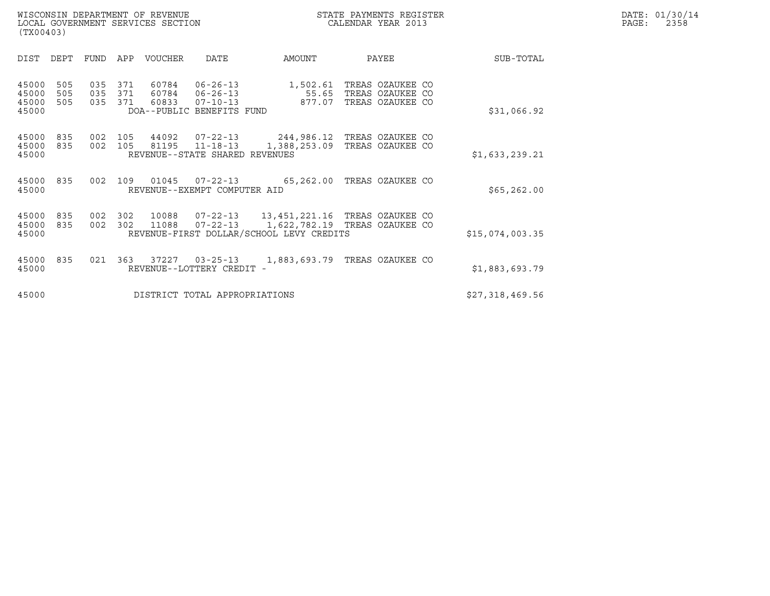|       | DATE: 01/30/14 |
|-------|----------------|
| PAGE: | 2358           |

| (TX00403)                        |                   |                   |                   |                |                                                                           |                                                                           |                                                          |                 |
|----------------------------------|-------------------|-------------------|-------------------|----------------|---------------------------------------------------------------------------|---------------------------------------------------------------------------|----------------------------------------------------------|-----------------|
| DIST                             | DEPT              | <b>FUND</b>       | APP               | <b>VOUCHER</b> | DATE                                                                      | AMOUNT                                                                    | PAYEE                                                    | SUB-TOTAL       |
| 45000<br>45000<br>45000<br>45000 | 505<br>505<br>505 | 035<br>035<br>035 | 371<br>371<br>371 | 60784<br>60784 | $06 - 26 - 13$<br>06-26-13<br>60833 07-10-13<br>DOA--PUBLIC BENEFITS FUND | 1,502.61<br>55.65<br>877.07                                               | TREAS OZAUKEE CO<br>TREAS OZAUKEE CO<br>TREAS OZAUKEE CO | \$31,066.92     |
| 45000<br>45000<br>45000          | 835<br>835        | 002<br>002        | 105<br>105        | 44092<br>81195 | $07 - 22 - 13$<br>$11 - 18 - 13$<br>REVENUE--STATE SHARED REVENUES        | 1,388,253.09                                                              | 244,986.12 TREAS OZAUKEE CO<br>TREAS OZAUKEE CO          | \$1,633,239.21  |
| 45000<br>45000                   | 835               | 002               | 109               | 01045          | REVENUE--EXEMPT COMPUTER AID                                              | 07-22-13 65,262.00                                                        | TREAS OZAUKEE CO                                         | \$65, 262.00    |
| 45000<br>45000<br>45000          | 835<br>835        | 002<br>002        | 302<br>302        | 10088<br>11088 | $07 - 22 - 13$                                                            | 1,622,782.19 TREAS OZAUKEE CO<br>REVENUE-FIRST DOLLAR/SCHOOL LEVY CREDITS |                                                          | \$15,074,003.35 |
| 45000<br>45000                   | 835               | 021               | 363               | 37227          | $03 - 25 - 13$<br>REVENUE--LOTTERY CREDIT                                 | 1,883,693.79                                                              | TREAS OZAUKEE CO                                         | \$1,883,693.79  |
| 45000                            |                   |                   |                   |                | DISTRICT TOTAL APPROPRIATIONS                                             |                                                                           |                                                          | \$27,318,469.56 |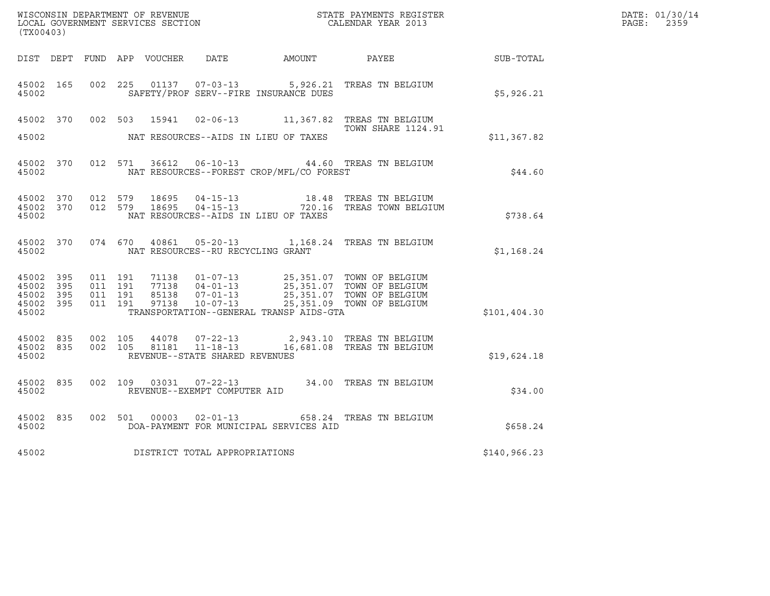| (TX00403)                                    |           |                               |         |                                         |                                          | WISCONSIN DEPARTMENT OF REVENUE<br>LOCAL GOVERNMENT SERVICES SECTION TERM CALENDAR YEAR 2013                                                                                             |              | DATE: 01/30/14<br>PAGE: 2359 |
|----------------------------------------------|-----------|-------------------------------|---------|-----------------------------------------|------------------------------------------|------------------------------------------------------------------------------------------------------------------------------------------------------------------------------------------|--------------|------------------------------|
|                                              |           |                               |         |                                         |                                          | DIST DEPT FUND APP VOUCHER DATE AMOUNT PAYEE SUB-TOTAL                                                                                                                                   |              |                              |
| 45002 165<br>45002                           |           |                               |         |                                         | SAFETY/PROF SERV--FIRE INSURANCE DUES    | 002 225 01137 07-03-13 5,926.21 TREAS TN BELGIUM                                                                                                                                         | \$5,926.21   |                              |
|                                              |           |                               |         |                                         |                                          | 45002 370 002 503 15941 02-06-13 11,367.82 TREAS TN BELGIUM<br>TOWN SHARE 1124.91                                                                                                        |              |                              |
| 45002                                        |           |                               |         |                                         | NAT RESOURCES--AIDS IN LIEU OF TAXES     |                                                                                                                                                                                          | \$11,367.82  |                              |
| 45002                                        |           |                               |         |                                         | NAT RESOURCES--FOREST CROP/MFL/CO FOREST | 45002 370 012 571 36612 06-10-13 44.60 TREAS TN BELGIUM                                                                                                                                  | \$44.60      |                              |
| 45002                                        |           |                               |         |                                         | NAT RESOURCES--AIDS IN LIEU OF TAXES     | 45002 370 012 579 18695 04-15-13 18.48 TREAS TN BELGIUM<br>45002 370 012 579 18695 04-15-13 720.16 TREAS TOWN BELGIUM                                                                    | \$738.64     |                              |
|                                              |           |                               |         | 45002 NAT RESOURCES--RU RECYCLING GRANT |                                          | 45002 370 074 670 40861 05-20-13 1,168.24 TREAS TN BELGIUM                                                                                                                               | \$1,168.24   |                              |
| 45002 395<br>45002 395<br>45002 395<br>45002 | 45002 395 | 011 191<br>011 191<br>011 191 | 011 191 |                                         | TRANSPORTATION--GENERAL TRANSP AIDS-GTA  | 71138  01-07-13  25,351.07  TOWN OF BELGIUM<br>77138  04-01-13  25,351.07  TOWN OF BELGIUM<br>85138  07-01-13  25,351.07  TOWN OF BELGIUM<br>97138  10-07-13  25,351.09  TOWN OF BELGIUM | \$101,404.30 |                              |
| 45002                                        |           |                               |         | REVENUE--STATE SHARED REVENUES          |                                          | 45002 835 002 105 44078 07-22-13 2,943.10 TREAS TN BELGIUM<br>45002 835 002 105 81181 11-18-13 16,681.08 TREAS TN BELGIUM                                                                | \$19,624.18  |                              |
| 45002                                        | 45002 835 |                               |         | REVENUE--EXEMPT COMPUTER AID            |                                          | 002 109 03031 07-22-13 34.00 TREAS TN BELGIUM                                                                                                                                            | \$34.00      |                              |
| 45002                                        | 45002 835 |                               |         |                                         | DOA-PAYMENT FOR MUNICIPAL SERVICES AID   | 002 501 00003 02-01-13 658.24 TREAS TN BELGIUM                                                                                                                                           | \$658.24     |                              |
| 45002                                        |           |                               |         | DISTRICT TOTAL APPROPRIATIONS           |                                          |                                                                                                                                                                                          | \$140,966.23 |                              |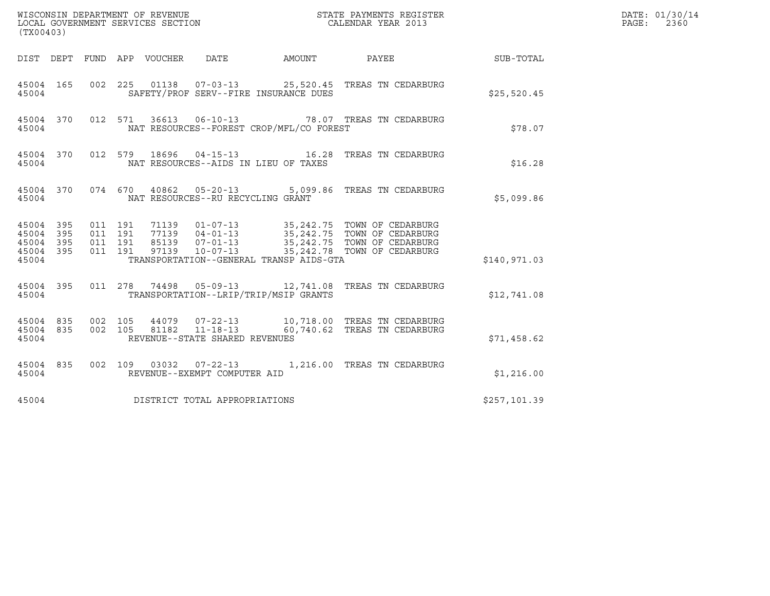| (TX00403)                                         |            |                               |         |                                 |                                   |                                          |                                                                                                                                                                                                                                                                                        |              | DATE: 01/30/14<br>$\mathtt{PAGE:}$<br>2360 |
|---------------------------------------------------|------------|-------------------------------|---------|---------------------------------|-----------------------------------|------------------------------------------|----------------------------------------------------------------------------------------------------------------------------------------------------------------------------------------------------------------------------------------------------------------------------------------|--------------|--------------------------------------------|
|                                                   |            |                               |         | DIST DEPT FUND APP VOUCHER DATE |                                   |                                          | AMOUNT PAYEE SUB-TOTAL                                                                                                                                                                                                                                                                 |              |                                            |
| 45004 165<br>45004                                |            |                               |         |                                 |                                   | SAFETY/PROF SERV--FIRE INSURANCE DUES    | 002  225  01138  07-03-13  25,520.45  TREAS TN CEDARBURG                                                                                                                                                                                                                               | \$25,520.45  |                                            |
| 45004                                             |            |                               |         |                                 |                                   | NAT RESOURCES--FOREST CROP/MFL/CO FOREST | 45004 370 012 571 36613 06-10-13 78.07 TREAS TN CEDARBURG                                                                                                                                                                                                                              | \$78.07      |                                            |
| 45004                                             |            |                               |         |                                 |                                   | NAT RESOURCES--AIDS IN LIEU OF TAXES     | 45004 370 012 579 18696 04-15-13 16.28 TREAS TN CEDARBURG                                                                                                                                                                                                                              | \$16.28      |                                            |
| 45004                                             |            |                               |         |                                 | NAT RESOURCES--RU RECYCLING GRANT |                                          | 45004 370 074 670 40862 05-20-13 5,099.86 TREAS TN CEDARBURG                                                                                                                                                                                                                           | \$5,099.86   |                                            |
| 45004 395<br>45004<br>45004<br>45004 395<br>45004 | 395<br>395 | 011 191<br>011 191<br>011 191 | 011 191 |                                 |                                   | TRANSPORTATION--GENERAL TRANSP AIDS-GTA  | 71139  01-07-13  35,242.75  TOWN OF CEDARBURG<br>77139  04-01-13  35,242.75  TOWN OF CEDARBURG<br>85139  07-01-13  35,242.75  TOWN OF CEDARBURG<br>97139  10-07-13  35,242.78  TOWN OF CEDARBURG                                                                                       | \$140,971.03 |                                            |
| 45004                                             |            |                               |         |                                 |                                   | TRANSPORTATION--LRIP/TRIP/MSIP GRANTS    | 45004 395 011 278 74498 05-09-13 12,741.08 TREAS TN CEDARBURG                                                                                                                                                                                                                          | \$12,741.08  |                                            |
| 45004                                             |            |                               |         |                                 | REVENUE--STATE SHARED REVENUES    |                                          | $\begin{array}{cccccc} 4\,5\,0\,0\,4 & 8\,3\,5 & 0\,0\,2 & 1\,0\,5 & 4\,4\,0\,7\,9 & 0\,7\,-2\,2\,-1\,3 & 1\,0\,,\,7\,1\,8\,.0\,0 & \text{TREAS TN CEDARBURG} \\ 4\,5\,0\,0\,4 & 8\,3\,5 & 0\,0\,2 & 1\,0\,5 & 8\,1\,1\,8\,2 & 1\,1\,-1\,8\,-1\,3 & 6\,0\,,\,7\,4\,0\,.6\,2 & \text{T$ | \$71,458.62  |                                            |
| 45004 835<br>45004                                |            |                               |         |                                 | REVENUE--EXEMPT COMPUTER AID      |                                          | 002 109 03032 07-22-13 1,216.00 TREAS TN CEDARBURG                                                                                                                                                                                                                                     | \$1,216.00   |                                            |
| 45004                                             |            |                               |         |                                 | DISTRICT TOTAL APPROPRIATIONS     |                                          |                                                                                                                                                                                                                                                                                        | \$257,101.39 |                                            |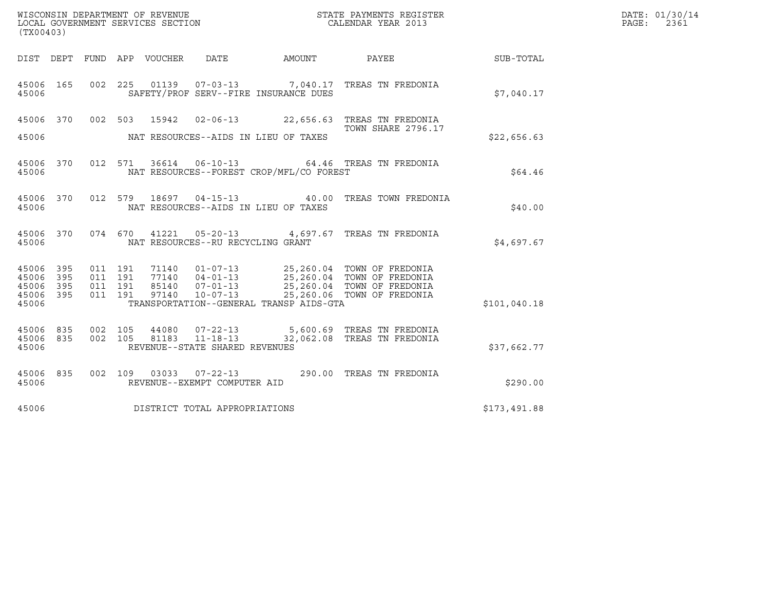| (TX00403)                       |            |         |                    | LOCAL GOVERNMENT SERVICES SECTION | WISCONSIN DEPARTMENT OF REVENUE                        |                                          | STATE PAYMENTS REGISTER<br>CALENDAR YEAR 2013                                                                                                |              | DATE: 01/30/14<br>PAGE:<br>2361 |
|---------------------------------|------------|---------|--------------------|-----------------------------------|--------------------------------------------------------|------------------------------------------|----------------------------------------------------------------------------------------------------------------------------------------------|--------------|---------------------------------|
|                                 |            |         |                    | DIST DEPT FUND APP VOUCHER DATE   |                                                        | AMOUNT PAYEE                             |                                                                                                                                              | SUB-TOTAL    |                                 |
| 45006                           |            |         |                    |                                   |                                                        | SAFETY/PROF SERV--FIRE INSURANCE DUES    | 45006 165 002 225 01139 07-03-13 7,040.17 TREAS TN FREDONIA                                                                                  | \$7,040.17   |                                 |
|                                 |            |         |                    |                                   |                                                        |                                          | 45006 370 002 503 15942 02-06-13 22,656.63 TREAS TN FREDONIA<br>TOWN SHARE 2796.17                                                           |              |                                 |
| 45006                           |            |         |                    |                                   |                                                        | NAT RESOURCES--AIDS IN LIEU OF TAXES     |                                                                                                                                              | \$22,656.63  |                                 |
| 45006                           |            |         |                    |                                   |                                                        | NAT RESOURCES--FOREST CROP/MFL/CO FOREST | 45006 370 012 571 36614 06-10-13 64.46 TREAS TN FREDONIA                                                                                     | \$64.46      |                                 |
| 45006                           |            |         |                    |                                   |                                                        | NAT RESOURCES--AIDS IN LIEU OF TAXES     | 45006 370 012 579 18697 04-15-13 40.00 TREAS TOWN FREDONIA                                                                                   | \$40.00      |                                 |
| 45006                           |            |         |                    |                                   | NAT RESOURCES--RU RECYCLING GRANT                      |                                          | 45006 370 074 670 41221 05-20-13 4,697.67 TREAS TN FREDONIA                                                                                  | \$4,697.67   |                                 |
| 45006<br>45006                  | 395<br>395 |         | 011 191<br>011 191 |                                   |                                                        |                                          | 71140  01-07-13  25,260.04  TOWN OF FREDONIA<br>77140  04-01-13  25,260.04  TOWN OF FREDONIA<br>85140  07-01-13  25,260.04  TOWN OF FREDONIA |              |                                 |
| 45006<br>45006<br>45006         | 395<br>395 | 011 191 | 011 191            | 97140                             | $10 - 07 - 13$                                         | TRANSPORTATION--GENERAL TRANSP AIDS-GTA  | 25,260.06 TOWN OF FREDONIA                                                                                                                   | \$101,040.18 |                                 |
| 45006 835<br>45006 835<br>45006 |            |         |                    |                                   | REVENUE--STATE SHARED REVENUES                         |                                          | 002 105 44080 07-22-13 5,600.69 TREAS TN FREDONIA<br>002 105 81183 11-18-13 32,062.08 TREAS TN FREDONIA                                      | \$37,662.77  |                                 |
| 45006 835<br>45006              |            |         |                    |                                   | 002 109 03033 07-22-13<br>REVENUE--EXEMPT COMPUTER AID |                                          | 290.00 TREAS TN FREDONIA                                                                                                                     | \$290.00     |                                 |
| 45006                           |            |         |                    |                                   | DISTRICT TOTAL APPROPRIATIONS                          |                                          |                                                                                                                                              | \$173,491.88 |                                 |
|                                 |            |         |                    |                                   |                                                        |                                          |                                                                                                                                              |              |                                 |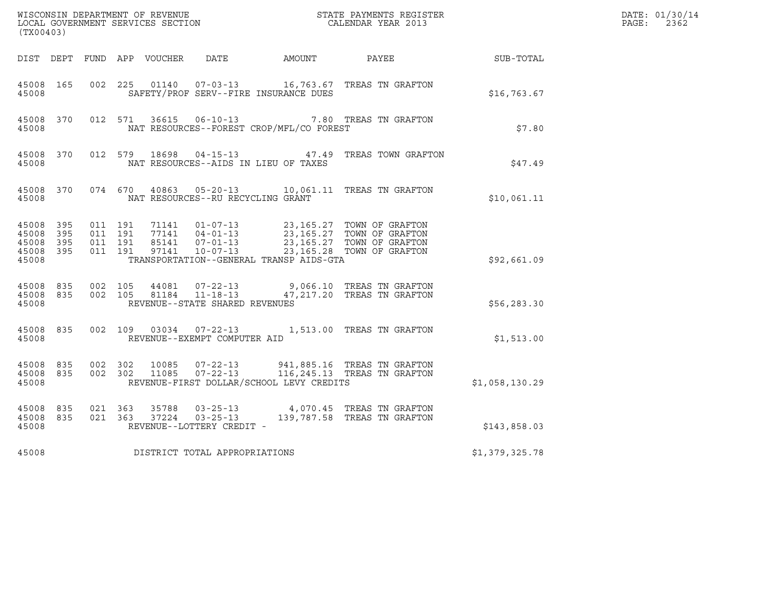| (TX00403)                                                 |           |                                          |  |                                   |                                              | WISCONSIN DEPARTMENT OF REVENUE<br>LOCAL GOVERNMENT SERVICES SECTION<br>CALENDAR YEAR 2013                                                                                               |                | DATE: 01/30/14<br>$\mathtt{PAGE:}$<br>2362 |
|-----------------------------------------------------------|-----------|------------------------------------------|--|-----------------------------------|----------------------------------------------|------------------------------------------------------------------------------------------------------------------------------------------------------------------------------------------|----------------|--------------------------------------------|
|                                                           |           |                                          |  |                                   | DIST DEPT FUND APP VOUCHER DATE AMOUNT PAYEE |                                                                                                                                                                                          | SUB-TOTAL      |                                            |
| 45008 165<br>45008                                        |           | 002 225                                  |  |                                   | SAFETY/PROF SERV--FIRE INSURANCE DUES        | 01140  07-03-13   16,763.67   TREAS TN GRAFTON                                                                                                                                           | \$16,763.67    |                                            |
| 45008                                                     |           |                                          |  |                                   | NAT RESOURCES--FOREST CROP/MFL/CO FOREST     | 45008 370 012 571 36615 06-10-13 7.80 TREAS TN GRAFTON                                                                                                                                   | \$7.80         |                                            |
| 45008                                                     |           |                                          |  |                                   | NAT RESOURCES--AIDS IN LIEU OF TAXES         | 45008 370 012 579 18698 04-15-13 47.49 TREAS TOWN GRAFTON                                                                                                                                | \$47.49        |                                            |
| 45008                                                     |           |                                          |  | NAT RESOURCES--RU RECYCLING GRANT |                                              | 45008 370 074 670 40863 05-20-13 10,061.11 TREAS TN GRAFTON                                                                                                                              | \$10,061.11    |                                            |
| 45008 395<br>45008 395<br>45008 395<br>45008 395<br>45008 |           | 011 191<br>011 191<br>011 191<br>011 191 |  |                                   | TRANSPORTATION--GENERAL TRANSP AIDS-GTA      | 71141  01-07-13  23,165.27  TOWN OF GRAFTON<br>77141  04-01-13  23,165.27  TOWN OF GRAFTON<br>85141  07-01-13  23,165.27  TOWN OF GRAFTON<br>97141  10-07-13  23,165.28  TOWN OF GRAFTON | \$92,661.09    |                                            |
| 45008                                                     | 45008 835 | 45008 835 002 105<br>002 105             |  | REVENUE--STATE SHARED REVENUES    |                                              | 44081  07-22-13  9,066.10 TREAS TN GRAFTON<br>81184  11-18-13  47,217.20  TREAS TN GRAFTON                                                                                               | \$56, 283.30   |                                            |
| 45008                                                     | 45008 835 |                                          |  | REVENUE--EXEMPT COMPUTER AID      |                                              | 002 109 03034 07-22-13 1,513.00 TREAS TN GRAFTON                                                                                                                                         | \$1,513.00     |                                            |
| 45008                                                     | 45008 835 | 45008 835 002 302<br>002 302             |  |                                   | REVENUE-FIRST DOLLAR/SCHOOL LEVY CREDITS     | 10085  07-22-13  941,885.16  TREAS TN GRAFTON<br>11085  07-22-13  116,245.13  TREAS TN GRAFTON                                                                                           | \$1,058,130.29 |                                            |
| 45008 835<br>45008 835<br>45008                           |           | 021 363<br>021 363                       |  | REVENUE--LOTTERY CREDIT -         |                                              | 35788  03-25-13  4,070.45  TREAS TN GRAFTON<br>37224  03-25-13  139,787.58  TREAS TN GRAFTON                                                                                             | \$143,858.03   |                                            |
| 45008                                                     |           |                                          |  | DISTRICT TOTAL APPROPRIATIONS     |                                              |                                                                                                                                                                                          | \$1,379,325.78 |                                            |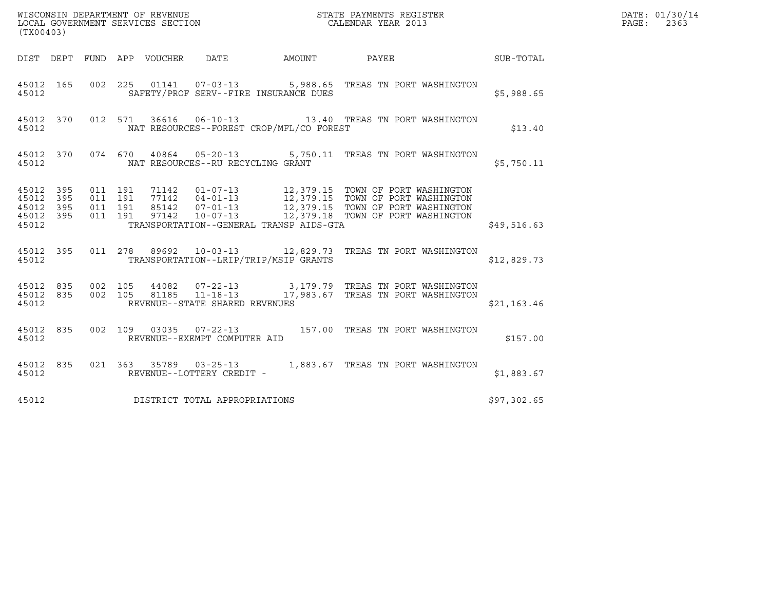| (TX00403)                                             |     |  |                                 |                                         |                                          |                                                                                                                                                                                                                                                                                                      |             | DATE: 01/30/14<br>PAGE:<br>2363 |
|-------------------------------------------------------|-----|--|---------------------------------|-----------------------------------------|------------------------------------------|------------------------------------------------------------------------------------------------------------------------------------------------------------------------------------------------------------------------------------------------------------------------------------------------------|-------------|---------------------------------|
|                                                       |     |  | DIST DEPT FUND APP VOUCHER DATE |                                         |                                          | AMOUNT PAYEE SUB-TOTAL                                                                                                                                                                                                                                                                               |             |                                 |
| 45012                                                 |     |  |                                 |                                         | SAFETY/PROF SERV--FIRE INSURANCE DUES    | 45012 165 002 225 01141 07-03-13 5,988.65 TREAS TN PORT WASHINGTON                                                                                                                                                                                                                                   | \$5,988.65  |                                 |
| 45012                                                 |     |  |                                 |                                         | NAT RESOURCES--FOREST CROP/MFL/CO FOREST | 45012 370 012 571 36616 06-10-13 13.40 TREAS TN PORT WASHINGTON                                                                                                                                                                                                                                      | \$13.40     |                                 |
|                                                       |     |  |                                 | 45012 NAT RESOURCES--RU RECYCLING GRANT |                                          | 45012 370 074 670 40864 05-20-13 5,750.11 TREAS TN PORT WASHINGTON                                                                                                                                                                                                                                   | \$5,750.11  |                                 |
| 45012 395<br>45012<br>45012 395<br>45012 395<br>45012 | 395 |  |                                 |                                         | TRANSPORTATION--GENERAL TRANSP AIDS-GTA  |                                                                                                                                                                                                                                                                                                      | \$49,516.63 |                                 |
| 45012                                                 |     |  |                                 |                                         | TRANSPORTATION--LRIP/TRIP/MSIP GRANTS    | 45012 395 011 278 89692 10-03-13 12,829.73 TREAS TN PORT WASHINGTON                                                                                                                                                                                                                                  | \$12,829.73 |                                 |
| 45012                                                 |     |  |                                 | REVENUE--STATE SHARED REVENUES          |                                          | $\begin{array}{cccccc} 4\,5\,0\,1\,2 & 8\,3\,5 & 0\,0\,2 & 1\,0\,5 & 4\,4\,0\,8\,2 & 0\,7\,-2\,2\,-1\,3 & 3\,,\,1\,7\,9\,.7\,9 & \text{TREAS TN PORT WASHINGTON}\\ 4\,5\,0\,1\,2 & 8\,3\,5 & 0\,0\,2 & 1\,0\,5 & 8\,1\,1\,8\,5 & 1\,1\,-1\,8\,-1\,3 & 1\,7\,,\,9\,8\,3\,.6\,7 & \text{TREAS TN PORT$ | \$21,163.46 |                                 |
| 45012 835<br>45012                                    |     |  |                                 | REVENUE--EXEMPT COMPUTER AID            |                                          | 002 109 03035 07-22-13 157.00 TREAS TN PORT WASHINGTON                                                                                                                                                                                                                                               | \$157.00    |                                 |
| 45012                                                 |     |  |                                 | REVENUE--LOTTERY CREDIT -               |                                          | 45012 835 021 363 35789 03-25-13 1,883.67 TREAS TN PORT WASHINGTON                                                                                                                                                                                                                                   | \$1,883.67  |                                 |
| 45012                                                 |     |  |                                 | DISTRICT TOTAL APPROPRIATIONS           |                                          |                                                                                                                                                                                                                                                                                                      | \$97,302.65 |                                 |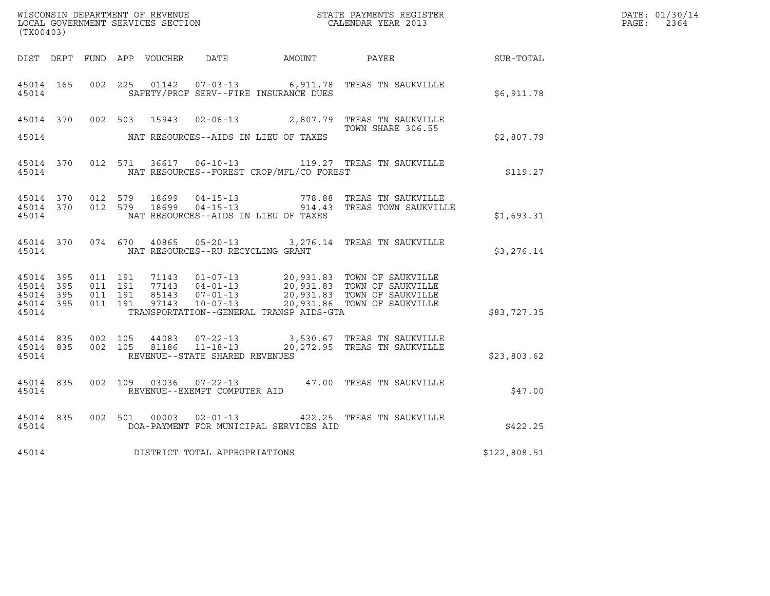| (TX00403)                       |                        |                               |         |                                         |                                                | WISCONSIN DEPARTMENT OF REVENUE<br>LOCAL GOVERNMENT SERVICES SECTION<br>CALENDAR YEAR 2013                                                                                                       |              | DATE: 01/30/14<br>PAGE: 2364 |
|---------------------------------|------------------------|-------------------------------|---------|-----------------------------------------|------------------------------------------------|--------------------------------------------------------------------------------------------------------------------------------------------------------------------------------------------------|--------------|------------------------------|
|                                 |                        |                               |         |                                         |                                                | DIST DEPT FUND APP VOUCHER DATE AMOUNT PAYEE SUB-TOTAL                                                                                                                                           |              |                              |
| 45014 165<br>45014              |                        |                               |         |                                         | SAFETY/PROF SERV--FIRE INSURANCE DUES          | 002 225 01142 07-03-13 6,911.78 TREAS TN SAUKVILLE                                                                                                                                               | \$6,911.78   |                              |
|                                 |                        |                               |         |                                         |                                                | 45014 370 002 503 15943 02-06-13 2,807.79 TREAS TN SAUKVILLE<br>TOWN SHARE 306.55                                                                                                                |              |                              |
| 45014                           |                        |                               |         |                                         | NAT RESOURCES--AIDS IN LIEU OF TAXES           |                                                                                                                                                                                                  | \$2,807.79   |                              |
|                                 |                        |                               |         |                                         | 45014 NAT RESOURCES--FOREST CROP/MFL/CO FOREST | 45014 370 012 571 36617 06-10-13 119.27 TREAS TN SAUKVILLE                                                                                                                                       | \$119.27     |                              |
| 45014                           |                        |                               |         |                                         | NAT RESOURCES--AIDS IN LIEU OF TAXES           | 45014 370 012 579 18699 04-15-13 778.88 TREAS TN SAUKVILLE<br>45014 370 012 579 18699 04-15-13 914.43 TREAS TOWN SAUKVILLE                                                                       | \$1,693.31   |                              |
|                                 |                        |                               |         | 45014 NAT RESOURCES--RU RECYCLING GRANT |                                                | 45014 370 074 670 40865 05-20-13 3,276.14 TREAS TN SAUKVILLE                                                                                                                                     | \$3,276.14   |                              |
| 45014 395<br>45014 395<br>45014 | 45014 395<br>45014 395 | 011 191<br>011 191<br>011 191 | 011 191 |                                         | TRANSPORTATION--GENERAL TRANSP AIDS-GTA        | 71143  01-07-13  20,931.83  TOWN OF SAUKVILLE<br>77143  04-01-13  20,931.83  TOWN OF SAUKVILLE<br>85143  07-01-13  20,931.83  TOWN OF SAUKVILLE<br>97143  10-07-13  20,931.86  TOWN OF SAUKVILLE | \$83,727.35  |                              |
|                                 | 45014 835<br>45014     | 45014 835 002 105             |         | REVENUE--STATE SHARED REVENUES          |                                                | 002 105 44083 07-22-13 3,530.67 TREAS TN SAUKVILLE<br>002 105 81186 11-18-13 20,272.95 TREAS TN SAUKVILLE                                                                                        | \$23,803.62  |                              |
| 45014                           |                        |                               |         | REVENUE--EXEMPT COMPUTER AID            |                                                | 45014 835 002 109 03036 07-22-13 47.00 TREAS TN SAUKVILLE                                                                                                                                        | \$47.00      |                              |
| 45014                           | 45014 835              |                               |         |                                         | DOA-PAYMENT FOR MUNICIPAL SERVICES AID         | 002 501 00003 02-01-13 422.25 TREAS TN SAUKVILLE                                                                                                                                                 | \$422.25     |                              |
| 45014                           |                        |                               |         | DISTRICT TOTAL APPROPRIATIONS           |                                                |                                                                                                                                                                                                  | \$122,808.51 |                              |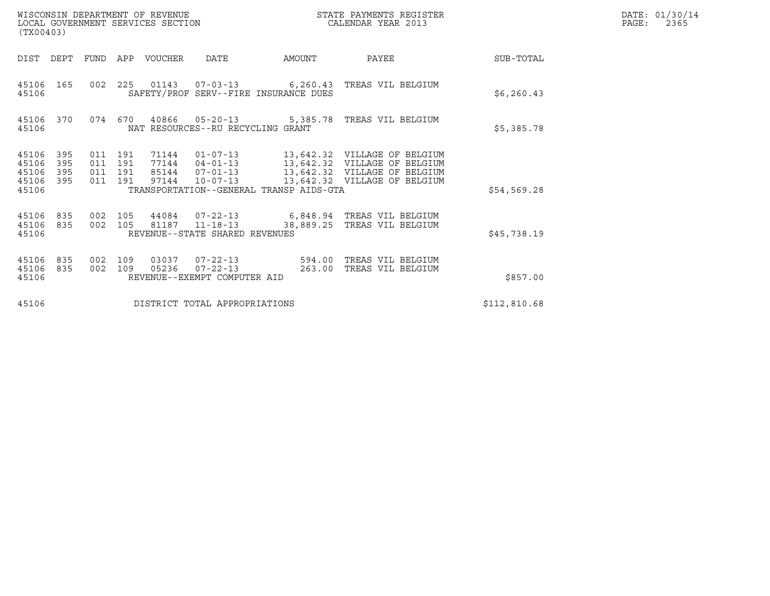| (TX00403)                                 |                          |                                          |            | WISCONSIN DEPARTMENT OF REVENUE<br>LOCAL GOVERNMENT SERVICES SECTION |                                                                         | STATE PAYMENTS REGISTER<br>CALENDAR YEAR 2013 |                                                                       |              | DATE: 01/30/14<br>$\mathtt{PAGE}$ :<br>2365 |
|-------------------------------------------|--------------------------|------------------------------------------|------------|----------------------------------------------------------------------|-------------------------------------------------------------------------|-----------------------------------------------|-----------------------------------------------------------------------|--------------|---------------------------------------------|
| DIST DEPT                                 |                          | FUND                                     |            | APP VOUCHER                                                          | DATE                                                                    | AMOUNT                                        | PAYEE                                                                 | SUB-TOTAL    |                                             |
| 45106                                     | 45106 165                |                                          |            |                                                                      | SAFETY/PROF SERV--FIRE INSURANCE DUES                                   |                                               | 002  225  01143  07-03-13  6,260.43  TREAS VIL BELGIUM                | \$6, 260.43  |                                             |
| 45106                                     | 45106 370                |                                          |            |                                                                      | NAT RESOURCES--RU RECYCLING GRANT                                       |                                               | 074  670  40866  05-20-13  5,385.78  TREAS VIL BELGIUM                | \$5,385.78   |                                             |
| 45106<br>45106<br>45106<br>45106<br>45106 | 395<br>395<br>395<br>395 | 011 191<br>011 191<br>011 191<br>011 191 |            |                                                                      | TRANSPORTATION--GENERAL TRANSP AIDS-GTA                                 |                                               | 97144  10-07-13  13,642.32  VILLAGE OF BELGIUM                        | \$54,569.28  |                                             |
| 45106<br>45106                            | 45106 835<br>835         | 002 105<br>002 105                       |            |                                                                      | 81187 11-18-13<br>REVENUE--STATE SHARED REVENUES                        | 38,889.25                                     | 44084  07-22-13    6,848.94    TREAS VIL BELGIUM<br>TREAS VIL BELGIUM | \$45,738.19  |                                             |
| 45106<br>45106<br>45106                   | 835<br>835               | 002<br>002                               | 109<br>109 | 03037                                                                | $07 - 22 - 13$ 594.00<br>05236 07-22-13<br>REVENUE--EXEMPT COMPUTER AID | 263.00                                        | TREAS VIL BELGIUM<br>TREAS VIL BELGIUM                                | \$857.00     |                                             |
| 45106                                     |                          |                                          |            |                                                                      | DISTRICT TOTAL APPROPRIATIONS                                           |                                               |                                                                       | \$112,810.68 |                                             |

WISCONSIN DEPARTMENT OF REVENUE<br>LOCAL GOVERNMENT SERVICES SECTION STATE PAYMENTS REGISTER SEGISTER SERVICES OF SAGE: 2365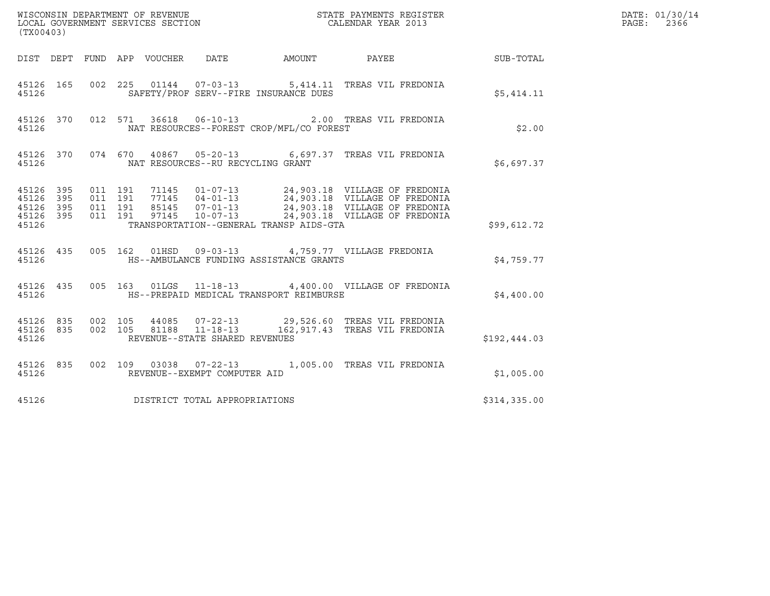| (TX00403) |  |  |                                   |                                               |                                                                                                                                                                                                                                        |                                                            | DATE: 01/30/14<br>PAGE:<br>2366 |
|-----------|--|--|-----------------------------------|-----------------------------------------------|----------------------------------------------------------------------------------------------------------------------------------------------------------------------------------------------------------------------------------------|------------------------------------------------------------|---------------------------------|
|           |  |  |                                   |                                               |                                                                                                                                                                                                                                        | DIST DEPT FUND APP VOUCHER DATE AMOUNT PAYEE THE SUB-TOTAL |                                 |
| 45126     |  |  |                                   | SAFETY/PROF SERV--FIRE INSURANCE DUES         | 45126 165 002 225 01144 07-03-13 5,414.11 TREAS VIL FREDONIA                                                                                                                                                                           | \$5,414.11                                                 |                                 |
| 45126     |  |  |                                   | NAT RESOURCES--FOREST CROP/MFL/CO FOREST      | 45126 370 012 571 36618 06-10-13 2.00 TREAS VIL FREDONIA                                                                                                                                                                               | \$2.00                                                     |                                 |
| 45126     |  |  | NAT RESOURCES--RU RECYCLING GRANT |                                               | 45126 370 074 670 40867 05-20-13 6,697.37 TREAS VIL FREDONIA                                                                                                                                                                           | \$6,697.37                                                 |                                 |
| 45126     |  |  |                                   | TRANSPORTATION--GENERAL TRANSP AIDS-GTA       | 45126 395 011 191 71145 01-07-13 24,903.18 VILLAGE OF FREDONIA<br>45126 395 011 191 77145 04-01-13 24,903.18 VILLAGE OF FREDONIA<br>45126 395 011 191 85145 07-01-13 24,903.18 VILLAGE OF FREDONIA<br>45126 395 011 191 97145 10-07-13 | \$99,612.72                                                |                                 |
|           |  |  |                                   | 45126 HS--AMBULANCE FUNDING ASSISTANCE GRANTS | 45126 435 005 162 01HSD 09-03-13 4,759.77 VILLAGE FREDONIA                                                                                                                                                                             | \$4,759.77                                                 |                                 |
|           |  |  |                                   | 45126 HS--PREPAID MEDICAL TRANSPORT REIMBURSE | 45126 435 005 163 01LGS 11-18-13 4,400.00 VILLAGE OF FREDONIA                                                                                                                                                                          | \$4,400.00                                                 |                                 |
| 45126     |  |  | REVENUE--STATE SHARED REVENUES    |                                               | $\begin{array}{cccc} 4\,5126 & 835 & 002 & 105 & 44085 & 07-22-13 & 29,526.60 & \text{TREAS VII FREDONIA} \\ 4\,5126 & 835 & 002 & 105 & 81188 & 11-18-13 & 162,917.43 & \text{TREAS VII FREDONIA} \end{array}$                        | \$192,444.03                                               |                                 |
| 45126     |  |  | REVENUE--EXEMPT COMPUTER AID      |                                               | 45126 835 002 109 03038 07-22-13 1,005.00 TREAS VIL FREDONIA                                                                                                                                                                           | \$1,005.00                                                 |                                 |
| 45126     |  |  | DISTRICT TOTAL APPROPRIATIONS     |                                               |                                                                                                                                                                                                                                        | \$314,335.00                                               |                                 |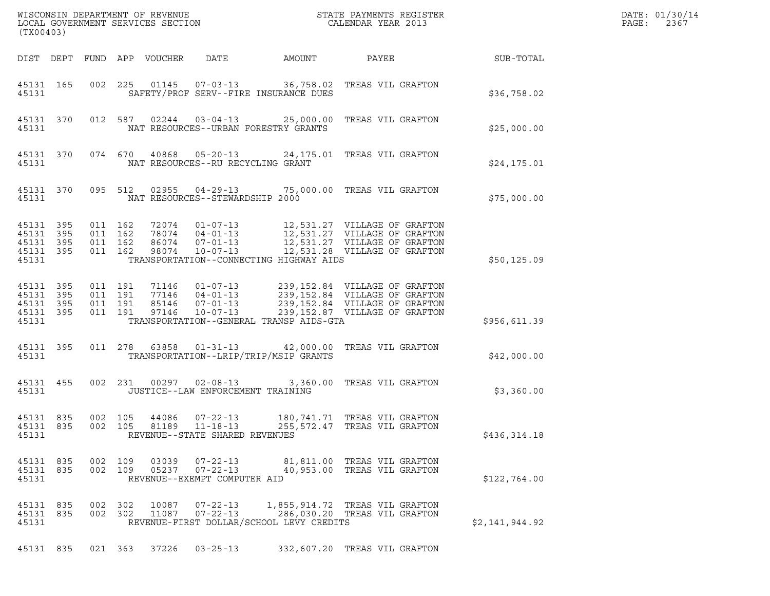| WISCONSIN DEPARTMENT OF REVENUE<br>LOCAL GOVERNMENT SERVICES SECTION<br>(TX00403)                                                                                                                                                                            | STATE PAYMENTS REGISTER<br>CALENDAR YEAR 2013                                                                                    |                | DATE: 01/30/14<br>PAGE:<br>2367 |
|--------------------------------------------------------------------------------------------------------------------------------------------------------------------------------------------------------------------------------------------------------------|----------------------------------------------------------------------------------------------------------------------------------|----------------|---------------------------------|
| DIST DEPT FUND APP VOUCHER<br>DATE                                                                                                                                                                                                                           | AMOUNT<br>PAYEE                                                                                                                  | SUB-TOTAL      |                                 |
| 45131 165<br>SAFETY/PROF SERV--FIRE INSURANCE DUES<br>45131                                                                                                                                                                                                  | 002 225 01145 07-03-13 36,758.02 TREAS VIL GRAFTON                                                                               | \$36,758.02    |                                 |
| 45131 370<br>012 587<br>NAT RESOURCES--URBAN FORESTRY GRANTS<br>45131                                                                                                                                                                                        | 02244  03-04-13  25,000.00  TREAS VIL GRAFTON                                                                                    | \$25,000.00    |                                 |
| 45131 370<br>NAT RESOURCES--RU RECYCLING GRANT<br>45131                                                                                                                                                                                                      | 074 670 40868 05-20-13 24,175.01 TREAS VIL GRAFTON                                                                               | \$24,175.01    |                                 |
| 45131 370<br>095 512<br>45131<br>NAT RESOURCES--STEWARDSHIP 2000                                                                                                                                                                                             | 02955  04-29-13  75,000.00  TREAS VIL GRAFTON                                                                                    | \$75,000.00    |                                 |
| 45131 395<br>011 162<br>72074<br>011 162<br>$04 - 01 - 13$<br>45131 395<br>78074<br>011 162<br>45131 395<br>86074<br>$07 - 01 - 13$<br>45131 395<br>011 162<br>98074<br>$10 - 07 - 13$<br>45131<br>TRANSPORTATION--CONNECTING HIGHWAY AIDS                   | 01-07-13 12,531.27 VILLAGE OF GRAFTON<br>12,531.28 VILLAGE OF GRAFTON                                                            | \$50,125.09    |                                 |
| 45131 395<br>011 191<br>71146<br>$01 - 07 - 13$<br>011 191<br>77146<br>45131 395<br>$04 - 01 - 13$<br>45131 395<br>011 191<br>85146<br>$07 - 01 - 13$<br>45131 395<br>011 191<br>97146<br>$10 - 07 - 13$<br>TRANSPORTATION--GENERAL TRANSP AIDS-GTA<br>45131 | 239,152.84 VILLAGE OF GRAFTON<br>239,152.84 VILLAGE OF GRAFTON<br>239,152.84 VILLAGE OF GRAFTON<br>239,152.87 VILLAGE OF GRAFTON | \$956,611.39   |                                 |
| 45131 395<br>011 278<br>63858<br>TRANSPORTATION--LRIP/TRIP/MSIP GRANTS<br>45131                                                                                                                                                                              | 01-31-13 42,000.00 TREAS VIL GRAFTON                                                                                             | \$42,000.00    |                                 |
| 45131 455<br>002 231 00297<br>$02 - 08 - 13$<br>JUSTICE--LAW ENFORCEMENT TRAINING<br>45131                                                                                                                                                                   | 3,360.00 TREAS VIL GRAFTON                                                                                                       | \$3,360.00     |                                 |
| 45131 835<br>002 105 44086<br>$07 - 22 - 13$<br>45131 835<br>002 105<br>81189 11-18-13<br>45131<br>REVENUE--STATE SHARED REVENUES                                                                                                                            | 180, 741.71 TREAS VIL GRAFTON<br>255,572.47 TREAS VIL GRAFTON                                                                    | \$436,314.18   |                                 |
| 45131 835<br>002 109<br>03039<br>$07 - 22 - 13$<br>$07 - 22 - 13$<br>45131 835<br>002 109<br>05237<br>45131<br>REVENUE--EXEMPT COMPUTER AID                                                                                                                  | 81,811.00 TREAS VIL GRAFTON<br>40,953.00 TREAS VIL GRAFTON                                                                       | \$122,764.00   |                                 |
| 45131 835<br>002 302<br>10087<br>$07 - 22 - 13$<br>002 302<br>$07 - 22 - 13$<br>45131 835<br>11087<br>REVENUE-FIRST DOLLAR/SCHOOL LEVY CREDITS<br>45131                                                                                                      | 1,855,914.72 TREAS VIL GRAFTON<br>286,030.20 TREAS VIL GRAFTON                                                                   | \$2,141,944.92 |                                 |
| 45131 835 021 363 37226 03-25-13                                                                                                                                                                                                                             | 332,607.20 TREAS VIL GRAFTON                                                                                                     |                |                                 |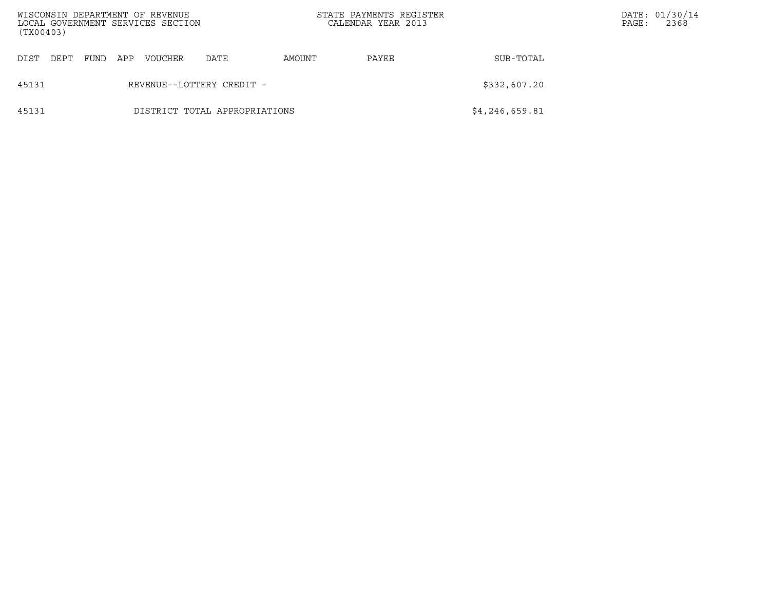| WISCONSIN DEPARTMENT OF REVENUE<br>LOCAL GOVERNMENT SERVICES SECTION<br>(TX00403) |      |      |     |         |                               |        | STATE PAYMENTS REGISTER<br>CALENDAR YEAR 2013 |                | PAGE: | DATE: 01/30/14<br>2368 |
|-----------------------------------------------------------------------------------|------|------|-----|---------|-------------------------------|--------|-----------------------------------------------|----------------|-------|------------------------|
| DIST                                                                              | DEPT | FUND | APP | VOUCHER | DATE                          | AMOUNT | PAYEE                                         | SUB-TOTAL      |       |                        |
| 45131                                                                             |      |      |     |         | REVENUE--LOTTERY CREDIT -     |        |                                               | \$332,607.20   |       |                        |
| 45131                                                                             |      |      |     |         | DISTRICT TOTAL APPROPRIATIONS |        |                                               | \$4,246,659.81 |       |                        |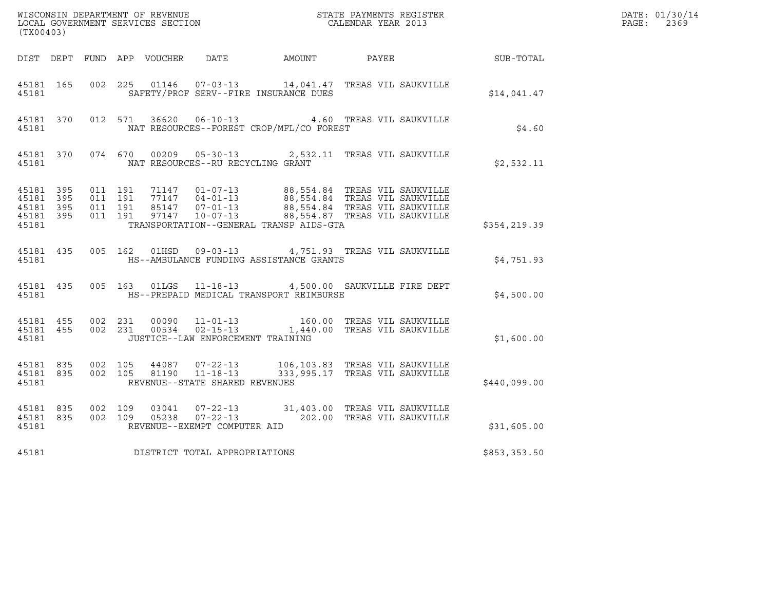| (TX00403)                                                 |           |                              |                    |                                   |                                              | WISCONSIN DEPARTMENT OF REVENUE<br>LOCAL GOVERNMENT SERVICES SECTION CALENDAR YEAR 2013                                                                                                                                               |              | DATE: 01/30/14<br>$\mathtt{PAGE:}$<br>2369 |
|-----------------------------------------------------------|-----------|------------------------------|--------------------|-----------------------------------|----------------------------------------------|---------------------------------------------------------------------------------------------------------------------------------------------------------------------------------------------------------------------------------------|--------------|--------------------------------------------|
|                                                           |           |                              |                    |                                   | DIST DEPT FUND APP VOUCHER DATE AMOUNT PAYEE |                                                                                                                                                                                                                                       | SUB-TOTAL    |                                            |
| 45181 165<br>45181                                        |           |                              |                    |                                   | SAFETY/PROF SERV--FIRE INSURANCE DUES        | 002 225 01146 07-03-13 14,041.47 TREAS VIL SAUKVILLE                                                                                                                                                                                  | \$14,041.47  |                                            |
| 45181                                                     |           |                              |                    |                                   | NAT RESOURCES--FOREST CROP/MFL/CO FOREST     | 45181 370 012 571 36620 06-10-13 4.60 TREAS VIL SAUKVILLE                                                                                                                                                                             | \$4.60       |                                            |
| 45181                                                     |           |                              |                    | NAT RESOURCES--RU RECYCLING GRANT |                                              | 45181 370 074 670 00209 05-30-13 2,532.11 TREAS VIL SAUKVILLE                                                                                                                                                                         | \$2,532.11   |                                            |
| 45181 395<br>45181 395<br>45181 395<br>45181 395<br>45181 |           | 011 191<br>011 191           | 011 191<br>011 191 |                                   | TRANSPORTATION--GENERAL TRANSP AIDS-GTA      |                                                                                                                                                                                                                                       | \$354,219.39 |                                            |
| 45181                                                     | 45181 435 |                              |                    |                                   | HS--AMBULANCE FUNDING ASSISTANCE GRANTS      | 005 162 01HSD 09-03-13 4,751.93 TREAS VIL SAUKVILLE                                                                                                                                                                                   | \$4,751.93   |                                            |
| 45181                                                     |           |                              |                    |                                   | HS--PREPAID MEDICAL TRANSPORT REIMBURSE      | 45181 435 005 163 01LGS 11-18-13 4,500.00 SAUKVILLE FIRE DEPT                                                                                                                                                                         | \$4,500.00   |                                            |
| 45181                                                     |           |                              |                    | JUSTICE--LAW ENFORCEMENT TRAINING |                                              | $\begin{array}{cccccccc} 4\,51\,81 & 4\,55 & 002 & 231 & 00090 & 11\,01\,-13 & & & 160.00 & \text{TREAS VIL SAUKVILLE} \\ 4\,51\,81 & 4\,55 & 002 & 231 & 00534 & 02\,-15\,-13 & & 1,440.00 & \text{TREAS VIL SAUKVILLE} \end{array}$ | \$1,600.00   |                                            |
| 45181                                                     |           |                              |                    | REVENUE--STATE SHARED REVENUES    |                                              | 45181 835 002 105 44087 07-22-13 106,103.83 TREAS VIL SAUKVILLE 45181 835 002 105 81190 11-18-13 333,995.17 TREAS VIL SAUKVILLE<br>333,995.17 TREAS VIL SAUKVILLE                                                                     | \$440,099.00 |                                            |
| 45181 835<br>45181                                        |           | 45181 835 002 109<br>002 109 |                    | REVENUE--EXEMPT COMPUTER AID      |                                              | 03041  07-22-13  31,403.00 TREAS VIL SAUKVILLE<br>05238  07-22-13  202.00 TREAS VIL SAUKVILLE                                                                                                                                         | \$31,605.00  |                                            |
| 45181                                                     |           |                              |                    | DISTRICT TOTAL APPROPRIATIONS     |                                              |                                                                                                                                                                                                                                       | \$853,353.50 |                                            |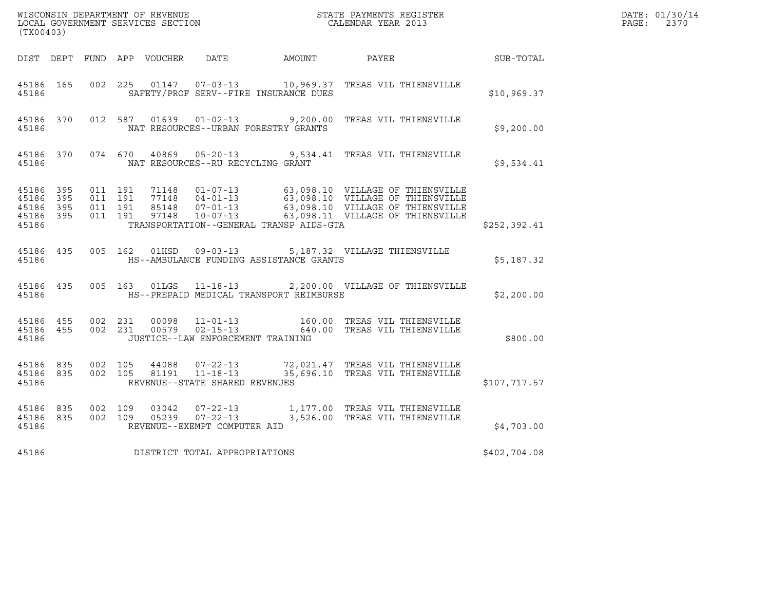| (TX00403)                       |                               |                                                    |  |               |                                   |                                              | $\tt WISCONSIM DEPARTMENT OF REVENUE$ $\tt STATE$ PAYMENTS REGISTER LOCAL GOVERNMENT SERVICES SECTION $\tt CALENDAR$ YEAR 2013                                                                                       |                  | DATE: 01/30/14<br>$\mathtt{PAGE:}$<br>2370 |
|---------------------------------|-------------------------------|----------------------------------------------------|--|---------------|-----------------------------------|----------------------------------------------|----------------------------------------------------------------------------------------------------------------------------------------------------------------------------------------------------------------------|------------------|--------------------------------------------|
|                                 |                               |                                                    |  |               |                                   | DIST DEPT FUND APP VOUCHER DATE AMOUNT PAYEE |                                                                                                                                                                                                                      | <b>SUB-TOTAL</b> |                                            |
| 45186                           | 45186 165                     | 002 225                                            |  |               |                                   | SAFETY/PROF SERV--FIRE INSURANCE DUES        |                                                                                                                                                                                                                      | \$10,969.37      |                                            |
| 45186                           |                               |                                                    |  |               |                                   | NAT RESOURCES--URBAN FORESTRY GRANTS         | 45186 370 012 587 01639 01-02-13 9,200.00 TREAS VIL THIENSVILLE                                                                                                                                                      | \$9,200.00       |                                            |
| 45186                           |                               |                                                    |  |               | NAT RESOURCES--RU RECYCLING GRANT |                                              | 45186 370 074 670 40869 05-20-13 9,534.41 TREAS VIL THIENSVILLE                                                                                                                                                      | \$9,534.41       |                                            |
| 45186 395<br>45186 395<br>45186 | 45186 395                     | 45186 395 011 191<br>011 191<br>011 191<br>011 191 |  |               |                                   | TRANSPORTATION--GENERAL TRANSP AIDS-GTA      | 71148  01-07-13  63,098.10  VILLAGE OF THIENSVILLE<br>77148  04-01-13  63,098.10  VILLAGE OF THIENSVILLE<br>85148  07-01-13  63,098.10  VILLAGE OF THIENSVILLE<br>97148  10-07-13  63,098.11  VILLAGE OF THIENSVILLE | \$252,392.41     |                                            |
| 45186                           | 45186 435                     |                                                    |  | 005 162 01HSD | $09 - 03 - 13$                    | HS--AMBULANCE FUNDING ASSISTANCE GRANTS      | 5,187.32 VILLAGE THIENSVILLE                                                                                                                                                                                         | \$5,187.32       |                                            |
| 45186                           |                               |                                                    |  |               |                                   | HS--PREPAID MEDICAL TRANSPORT REIMBURSE      | 45186 435 005 163 01LGS 11-18-13 2,200.00 VILLAGE OF THIENSVILLE                                                                                                                                                     | \$2,200.00       |                                            |
| 45186                           |                               | 45186 455 002 231<br>45186 455 002 231             |  |               | JUSTICE--LAW ENFORCEMENT TRAINING |                                              | 00098  11-01-13   160.00 TREAS VIL THIENSVILLE<br>00579  02-15-13   640.00 TREAS VIL THIENSVILLE                                                                                                                     | \$800.00         |                                            |
| 45186                           |                               |                                                    |  |               | REVENUE--STATE SHARED REVENUES    |                                              | $\begin{array}{cccc} 45186 & 835 & 002 & 105 & 44088 & 07-22-13 & & 72,021.47 & \text{TREAS VIL THIENSVILLE} \\ 45186 & 835 & 002 & 105 & 81191 & 11-18-13 & & 35,696.10 & \text{TREAS VIL THIENSVILLE} \end{array}$ | \$107,717.57     |                                            |
| 45186 835<br>45186              |                               | 45186 835 002 109<br>002 109                       |  |               | REVENUE--EXEMPT COMPUTER AID      |                                              |                                                                                                                                                                                                                      | \$4,703.00       |                                            |
| 45186                           | DISTRICT TOTAL APPROPRIATIONS |                                                    |  |               |                                   |                                              |                                                                                                                                                                                                                      |                  |                                            |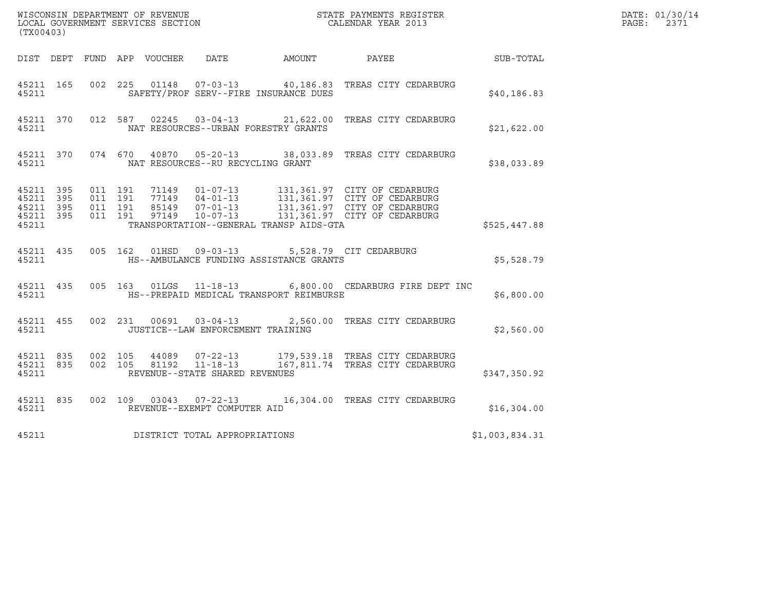| (TX00403)                                    |           |                              |  |                                   |                                                                                                    |                                                                                                                                                                                                                                                                                                                   |                | DATE: 01/30/14<br>$\mathtt{PAGE:}$<br>2371 |
|----------------------------------------------|-----------|------------------------------|--|-----------------------------------|----------------------------------------------------------------------------------------------------|-------------------------------------------------------------------------------------------------------------------------------------------------------------------------------------------------------------------------------------------------------------------------------------------------------------------|----------------|--------------------------------------------|
|                                              |           |                              |  |                                   |                                                                                                    | DIST DEPT FUND APP VOUCHER DATE AMOUNT PAYEE SUB-TOTAL                                                                                                                                                                                                                                                            |                |                                            |
| 45211                                        | 45211 165 |                              |  |                                   | SAFETY/PROF SERV--FIRE INSURANCE DUES                                                              | 002  225  01148  07-03-13  40,186.83  TREAS CITY CEDARBURG                                                                                                                                                                                                                                                        | \$40, 186.83   |                                            |
| 45211                                        |           |                              |  |                                   | NAT RESOURCES--URBAN FORESTRY GRANTS                                                               | 45211 370 012 587 02245 03-04-13 21,622.00 TREAS CITY CEDARBURG                                                                                                                                                                                                                                                   | \$21,622.00    |                                            |
| 45211                                        |           |                              |  | NAT RESOURCES--RU RECYCLING GRANT |                                                                                                    | 45211 370 074 670 40870 05-20-13 38,033.89 TREAS CITY CEDARBURG                                                                                                                                                                                                                                                   | \$38,033.89    |                                            |
| 45211 395<br>45211 395<br>45211 395<br>45211 | 45211 395 |                              |  |                                   | TRANSPORTATION--GENERAL TRANSP AIDS-GTA                                                            | $\begin{array}{cccc} 011 & 191 & 71149 & 01\!07\!-\!13 & 131,361.97 & \text{CITY OF CEDARBURG} \\ 011 & 191 & 77149 & 04\!-\!01\!-\!13 & 131,361.97 & \text{CITY OF CEDARBURG} \\ 011 & 191 & 85149 & 07\!-\!01\!-\!13 & 131,361.97 & \text{CITY OF CEDARBURG} \\ 011 & 191 & 97149 & 10\!-\!07\!-\!13 & 131,361$ | \$525,447.88   |                                            |
| 45211                                        |           |                              |  |                                   | 45211 435 005 162 01HSD 09-03-13 5,528.79 CIT CEDARBURG<br>HS--AMBULANCE FUNDING ASSISTANCE GRANTS |                                                                                                                                                                                                                                                                                                                   | \$5,528.79     |                                            |
|                                              | 45211     |                              |  |                                   | HS--PREPAID MEDICAL TRANSPORT REIMBURSE                                                            | 45211 435 005 163 01LGS 11-18-13 6,800.00 CEDARBURG FIRE DEPT INC                                                                                                                                                                                                                                                 | \$6,800.00     |                                            |
|                                              |           | 45211 200                    |  |                                   | JUSTICE--LAW ENFORCEMENT TRAINING                                                                  | 45211 455 002 231 00691 03-04-13 2,560.00 TREAS CITY CEDARBURG                                                                                                                                                                                                                                                    | \$2,560.00     |                                            |
| 45211                                        | 45211 835 | 45211 835 002 105<br>002 105 |  | REVENUE--STATE SHARED REVENUES    |                                                                                                    |                                                                                                                                                                                                                                                                                                                   | \$347,350.92   |                                            |
| 45211                                        |           |                              |  | REVENUE--EXEMPT COMPUTER AID      |                                                                                                    | 45211 835 002 109 03043 07-22-13 16,304.00 TREAS CITY CEDARBURG                                                                                                                                                                                                                                                   | \$16,304.00    |                                            |
| 45211                                        |           |                              |  | DISTRICT TOTAL APPROPRIATIONS     |                                                                                                    |                                                                                                                                                                                                                                                                                                                   | \$1,003,834.31 |                                            |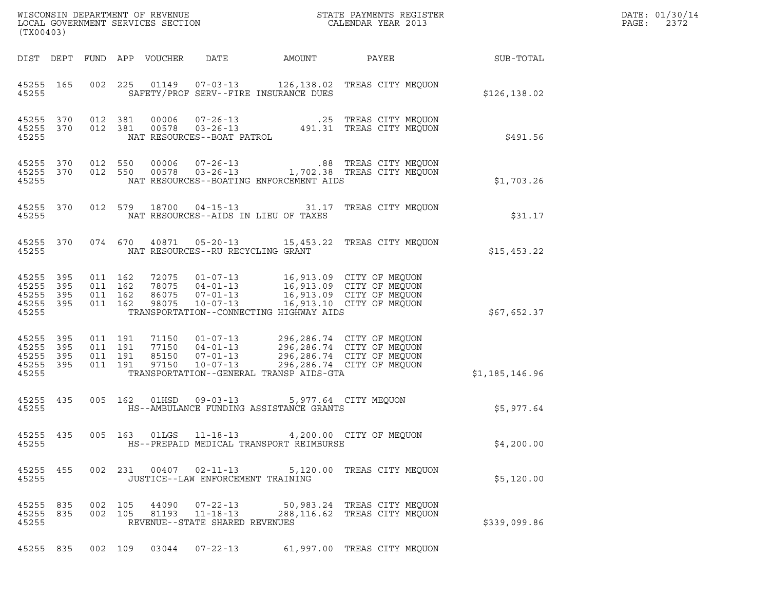| (TX00403)                                                          |                                                                              |                                                                                                                 |        |                                                                                                                       |                | DATE: 01/30/14<br>PAGE:<br>2372 |
|--------------------------------------------------------------------|------------------------------------------------------------------------------|-----------------------------------------------------------------------------------------------------------------|--------|-----------------------------------------------------------------------------------------------------------------------|----------------|---------------------------------|
| DIST DEPT                                                          | FUND APP VOUCHER                                                             | DATE                                                                                                            | AMOUNT | PAYEE                                                                                                                 | SUB-TOTAL      |                                 |
| 45255 165<br>45255                                                 | 002 225                                                                      | SAFETY/PROF SERV--FIRE INSURANCE DUES                                                                           |        | 01149  07-03-13  126,138.02  TREAS CITY MEQUON                                                                        | \$126,138.02   |                                 |
| 45255 370<br>45255 370<br>45255                                    | 012 381<br>00006<br>012 381<br>00578                                         | $07 - 26 - 13$<br>$03 - 26 - 13$<br>NAT RESOURCES--BOAT PATROL                                                  |        | .25 TREAS CITY MEQUON<br>491.31 TREAS CITY MEQUON                                                                     | \$491.56       |                                 |
| 45255<br>370<br>45255 370<br>45255                                 | 012 550<br>00006<br>012 550<br>00578                                         | $07 - 26 - 13$<br>$03 - 26 - 13$<br>NAT RESOURCES--BOATING ENFORCEMENT AIDS                                     |        | .88 TREAS CITY MEQUON<br>1,702.38 TREAS CITY MEQUON                                                                   | \$1,703.26     |                                 |
| 45255 370<br>45255                                                 | 012 579 18700 04-15-13                                                       | NAT RESOURCES--AIDS IN LIEU OF TAXES                                                                            |        | 31.17 TREAS CITY MEQUON                                                                                               | \$31.17        |                                 |
| 45255 370<br>45255                                                 | 074 670<br>40871                                                             | NAT RESOURCES--RU RECYCLING GRANT                                                                               |        | 05-20-13 15,453.22 TREAS CITY MEQUON                                                                                  | \$15,453.22    |                                 |
| 45255 395<br>45255<br>395<br>45255 395<br>45255 395<br>45255       | 011 162<br>72075<br>011 162<br>78075<br>011 162<br>86075<br>011 162<br>98075 | $01 - 07 - 13$<br>$04 - 01 - 13$<br>$07 - 01 - 13$<br>TRANSPORTATION--CONNECTING HIGHWAY AIDS                   |        | 16,913.09 CITY OF MEQUON<br>16,913.09 CITY OF MEQUON<br>16,913.09 CITY OF MEQUON<br>10-07-13 16,913.10 CITY OF MEQUON | \$67,652.37    |                                 |
| 45255<br>395<br>45255<br>395<br>45255<br>395<br>45255 395<br>45255 | 011 191<br>71150<br>011 191<br>77150<br>011 191<br>85150<br>011 191<br>97150 | $01 - 07 - 13$<br>$04 - 01 - 13$<br>$07 - 01 - 13$<br>$10 - 07 - 13$<br>TRANSPORTATION--GENERAL TRANSP AIDS-GTA |        | 296,286.74 CITY OF MEQUON<br>296,286.74 CITY OF MEQUON<br>296,286.74 CITY OF MEQUON<br>296,286.74 CITY OF MEQUON      | \$1,185,146.96 |                                 |
| 45255 435<br>45255                                                 | 005 162                                                                      | HS--AMBULANCE FUNDING ASSISTANCE GRANTS                                                                         |        | 5,977.64 CITY MEQUON                                                                                                  | \$5,977.64     |                                 |
| 45255 435<br>45255                                                 | 005 163                                                                      | HS--PREPAID MEDICAL TRANSPORT REIMBURSE                                                                         |        | 01LGS  11-18-13  4,200.00  CITY OF MEQUON                                                                             | \$4,200.00     |                                 |
| 45255 455<br>45255                                                 | 002 231 00407 02-11-13                                                       | JUSTICE--LAW ENFORCEMENT TRAINING                                                                               |        | 5,120.00 TREAS CITY MEOUON                                                                                            | \$5,120.00     |                                 |
| 45255 835<br>45255 835<br>45255                                    | 002 105<br>44090<br>002 105<br>81193                                         | 07-22-13<br>$11 - 18 - 13$<br>REVENUE--STATE SHARED REVENUES                                                    |        | 50,983.24 TREAS CITY MEQUON<br>288,116.62 TREAS CITY MEQUON                                                           | \$339,099.86   |                                 |
| 45255 835                                                          | 002 109                                                                      | 03044 07-22-13                                                                                                  |        | 61,997.00 TREAS CITY MEQUON                                                                                           |                |                                 |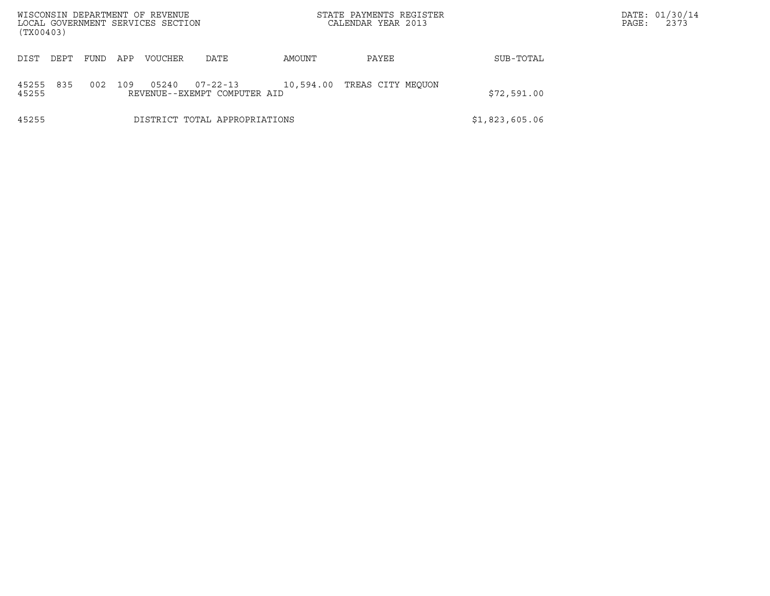| WISCONSIN DEPARTMENT OF REVENUE<br>LOCAL GOVERNMENT SERVICES SECTION<br>(TX00403) |                                                                                                         |     |                |      |        | STATE PAYMENTS REGISTER<br>CALENDAR YEAR 2013 |                | DATE: 01/30/14<br>2373<br>PAGE: |
|-----------------------------------------------------------------------------------|---------------------------------------------------------------------------------------------------------|-----|----------------|------|--------|-----------------------------------------------|----------------|---------------------------------|
| DEPT<br>DIST                                                                      | FUND                                                                                                    | APP | <b>VOUCHER</b> | DATE | AMOUNT | PAYEE                                         | SUB-TOTAL      |                                 |
| 835<br>45255<br>45255                                                             | 109<br>$07 - 22 - 13$<br>002<br>05240<br>10,594.00<br>TREAS CITY MEOUON<br>REVENUE--EXEMPT COMPUTER AID |     |                |      |        |                                               | \$72,591.00    |                                 |
| 45255                                                                             | DISTRICT TOTAL APPROPRIATIONS                                                                           |     |                |      |        |                                               | \$1,823,605.06 |                                 |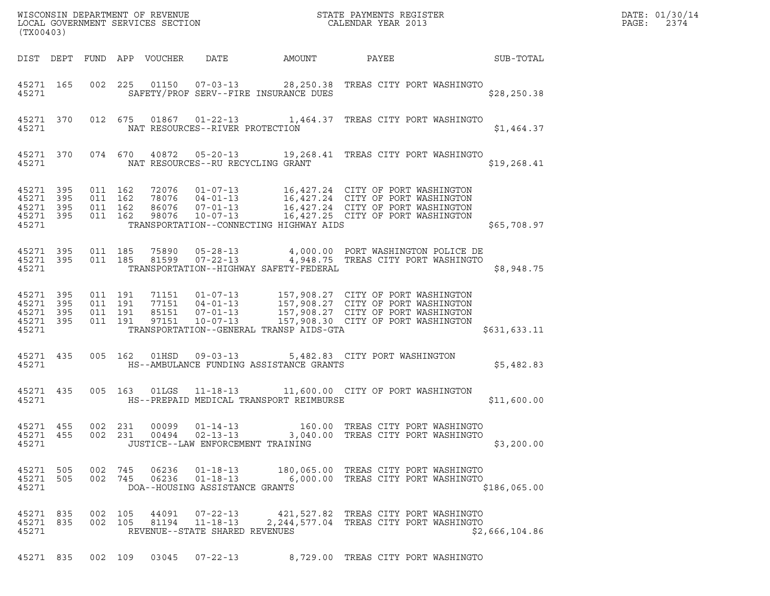| (TX00403)                                                 |                                          |                |                                                                             |        | $\tt WISCONSIM DEPARTMENT OF REVENUE$ $\tt WISCONSIMENTS REGISTER$<br>LOCAL GOVERNMENT SERVICES SECTION $\tt CALENDAR YEAR$ 2013                                                                                                        |                  | DATE: 01/30/14<br>$\mathtt{PAGE}$ :<br>2374 |
|-----------------------------------------------------------|------------------------------------------|----------------|-----------------------------------------------------------------------------|--------|-----------------------------------------------------------------------------------------------------------------------------------------------------------------------------------------------------------------------------------------|------------------|---------------------------------------------|
|                                                           |                                          |                | DIST DEPT FUND APP VOUCHER DATE                                             | AMOUNT | PAYEE                                                                                                                                                                                                                                   | <b>SUB-TOTAL</b> |                                             |
| 45271 165<br>45271                                        |                                          |                | SAFETY/PROF SERV--FIRE INSURANCE DUES                                       |        | 002  225  01150  07-03-13  28,250.38  TREAS CITY PORT WASHINGTO                                                                                                                                                                         | \$28, 250.38     |                                             |
| 45271                                                     |                                          |                | NAT RESOURCES--RIVER PROTECTION                                             |        | 45271 370 012 675 01867 01-22-13 1,464.37 TREAS CITY PORT WASHINGTO                                                                                                                                                                     | \$1,464.37       |                                             |
| 45271                                                     |                                          |                | NAT RESOURCES--RU RECYCLING GRANT                                           |        | 45271 370 074 670 40872 05-20-13 19,268.41 TREAS CITY PORT WASHINGTO                                                                                                                                                                    | \$19, 268.41     |                                             |
| 45271 395<br>45271 395<br>45271 395<br>45271 395<br>45271 | 011 162<br>011 162<br>011 162<br>011 162 |                | TRANSPORTATION--CONNECTING HIGHWAY AIDS                                     |        | 72076  01-07-13  16,427.24  CITY OF PORT WASHINGTON<br>78076  04-01-13  16,427.24  CITY OF PORT WASHINGTON<br>86076  07-01-13  16,427.24  CITY OF PORT WASHINGTON<br>98076  10-07-13  16,427.25  CITY OF PORT WASHINGTON                | \$65,708.97      |                                             |
| 45271 395<br>45271 395<br>45271                           |                                          |                | TRANSPORTATION--HIGHWAY SAFETY-FEDERAL                                      |        | 011 185 75890 05-28-13 4,000.00 PORT WASHINGTON POLICE DE<br>011 185 81599 07-22-13 4,948.75 TREAS CITY PORT WASHINGTO                                                                                                                  | \$8,948.75       |                                             |
| 45271 395<br>45271 395<br>45271 395<br>45271 395<br>45271 | 011 191<br>011 191<br>011 191<br>011 191 |                | TRANSPORTATION--GENERAL TRANSP AIDS-GTA                                     |        | 71151    01-07-13    157,908.27    CITY OF PORT WASHINGTON<br>77151    04-01-13    157,908.27    CITY OF PORT WASHINGTON<br>85151    07-01-13    157,908.27    CITY OF PORT WASHINGTON<br>97151    10-07-13    157,908.30    CITY OF PO | \$631,633.11     |                                             |
| 45271 435<br>45271                                        |                                          |                | 005 162 01HSD 09-03-13<br>HS--AMBULANCE FUNDING ASSISTANCE GRANTS           |        | 5,482.83 CITY PORT WASHINGTON                                                                                                                                                                                                           | \$5,482.83       |                                             |
| 45271                                                     |                                          |                | HS--PREPAID MEDICAL TRANSPORT REIMBURSE                                     |        | 45271 435 005 163 01LGS 11-18-13 11,600.00 CITY OF PORT WASHINGTON                                                                                                                                                                      | \$11,600.00      |                                             |
| 45271 455<br>45271 455<br>45271                           | 002 231<br>002 231                       | 00099<br>00494 | $01 - 14 - 13$<br>$02 - 13 - 13$<br>JUSTICE--LAW ENFORCEMENT TRAINING       |        | 160.00 TREAS CITY PORT WASHINGTO<br>3,040.00 TREAS CITY PORT WASHINGTO                                                                                                                                                                  | \$3,200.00       |                                             |
| 45271 505<br>45271 505<br>45271                           | 002 745<br>002 745                       | 06236          | $01 - 18 - 13$<br>$01 - 18 - 13$<br>06236<br>DOA--HOUSING ASSISTANCE GRANTS |        | 180,065.00 TREAS CITY PORT WASHINGTO<br>6,000.00 TREAS CITY PORT WASHINGTO                                                                                                                                                              | \$186,065.00     |                                             |
| 45271 835<br>45271 835<br>45271                           | 002 105<br>002 105                       |                | $07 - 22 - 13$<br>44091<br>81194<br>REVENUE--STATE SHARED REVENUES          |        | 421,527.82 TREAS CITY PORT WASHINGTO                                                                                                                                                                                                    | \$2,666,104.86   |                                             |

45271 835 002 109 03045 07-22-13 8,729.00 TREAS CITY PORT WASHINGTO